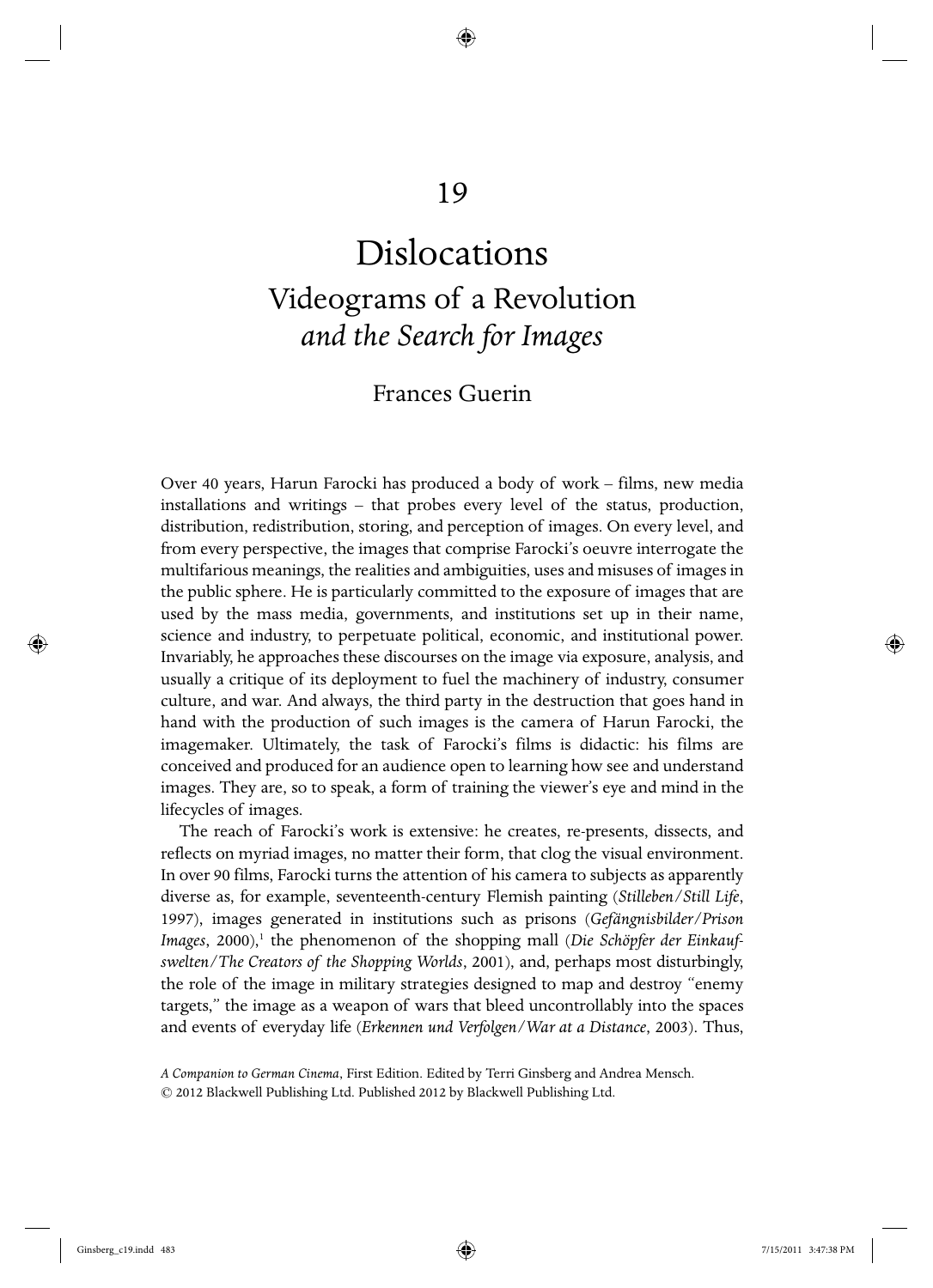# 19

⊕

# Dislocations Videograms of a Revolution *and the Search for Images*

# Frances Guerin

Over 40 years, Harun Farocki has produced a body of work – films, new media installations and writings – that probes every level of the status, production, distribution, redistribution, storing, and perception of images. On every level, and from every perspective, the images that comprise Farocki's oeuvre interrogate the multifarious meanings, the realities and ambiguities, uses and misuses of images in the public sphere. He is particularly committed to the exposure of images that are used by the mass media, governments, and institutions set up in their name, science and industry, to perpetuate political, economic, and institutional power. Invariably, he approaches these discourses on the image via exposure, analysis, and usually a critique of its deployment to fuel the machinery of industry, consumer culture, and war. And always, the third party in the destruction that goes hand in hand with the production of such images is the camera of Harun Farocki, the imagemaker. Ultimately, the task of Farocki's films is didactic: his films are conceived and produced for an audience open to learning how see and understand images. They are, so to speak, a form of training the viewer's eye and mind in the lifecycles of images.

The reach of Farocki's work is extensive: he creates, re-presents, dissects, and reflects on myriad images, no matter their form, that clog the visual environment. In over 90 films, Farocki turns the attention of his camera to subjects as apparently diverse as, for example, seventeenth-century Flemish painting (*Stilleben/Still Life*, 1997), images generated in institutions such as prisons (*Gefängnisbilder/Prison*  Images, 2000),<sup>1</sup> the phenomenon of the shopping mall (Die Schöpfer der Einkauf*swelten/The Creators of the Shopping Worlds*, 2001), and, perhaps most disturbingly, the role of the image in military strategies designed to map and destroy "enemy targets," the image as a weapon of wars that bleed uncontrollably into the spaces and events of everyday life (*Erkennen und Verfolgen/War at a Distance*, 2003). Thus,

*A Companion to German Cinema*, First Edition. Edited by Terri Ginsberg and Andrea Mensch. © 2012 Blackwell Publishing Ltd. Published 2012 by Blackwell Publishing Ltd.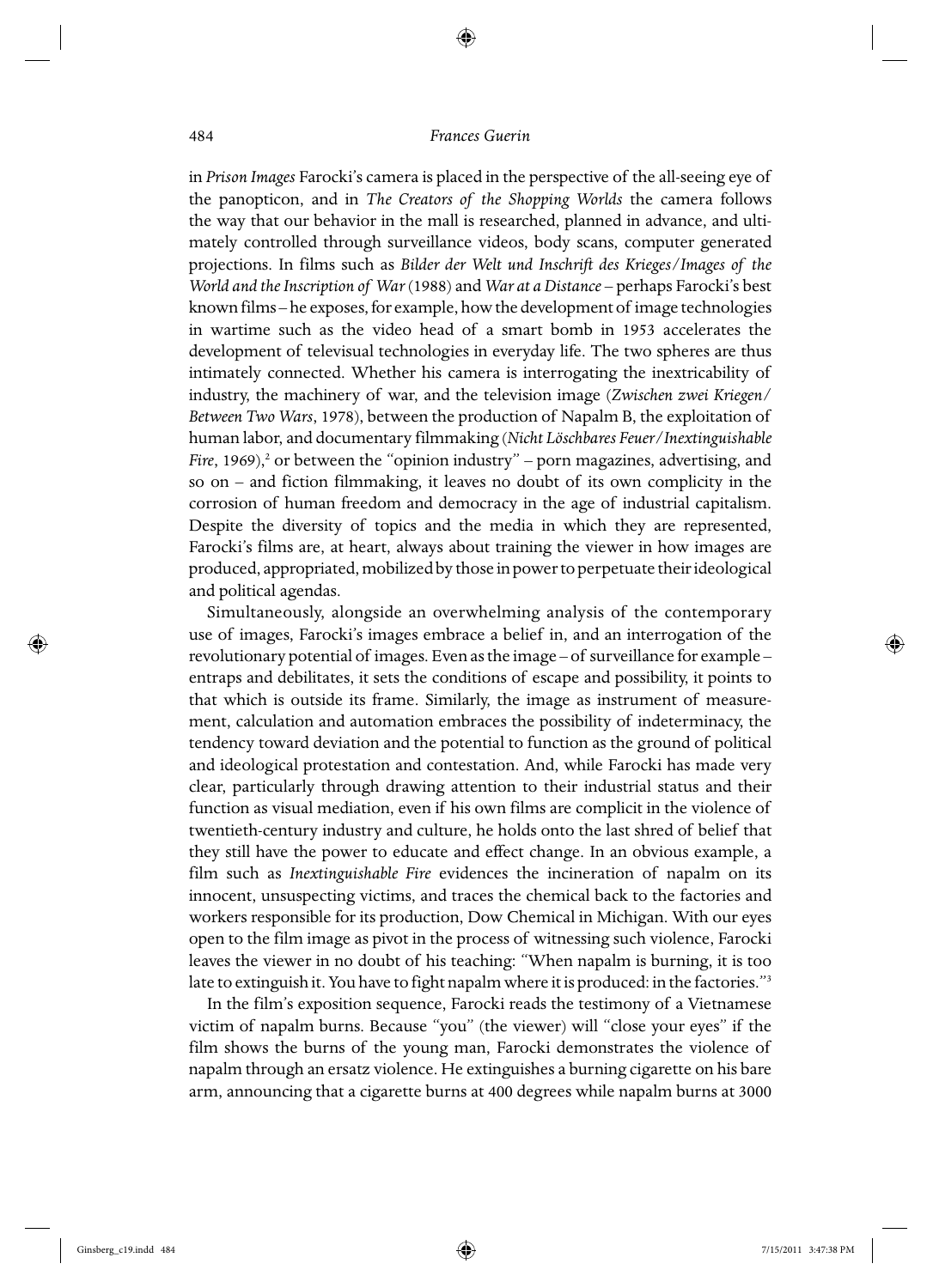⊕

in *Prison Images* Farocki's camera is placed in the perspective of the all-seeing eye of the panopticon, and in *The Creators of the Shopping Worlds* the camera follows the way that our behavior in the mall is researched, planned in advance, and ultimately controlled through surveillance videos, body scans, computer generated projections. In films such as *Bilder der Welt und Inschrift des Krieges/Images of the World and the Inscription of War* (1988) and *War at a Distance* – perhaps Farocki's best known films – he exposes, for example, how the development of image technologies in wartime such as the video head of a smart bomb in 1953 accelerates the development of televisual technologies in everyday life. The two spheres are thus intimately connected. Whether his camera is interrogating the inextricability of industry, the machinery of war, and the television image (*Zwischen zwei Kriegen/ Between Two Wars*, 1978), between the production of Napalm B, the exploitation of human labor, and documentary filmmaking (*Nicht Löschbares Feuer/Inextinguishable*  Fire, 1969),<sup>2</sup> or between the "opinion industry" – porn magazines, advertising, and so on – and fiction filmmaking, it leaves no doubt of its own complicity in the corrosion of human freedom and democracy in the age of industrial capitalism. Despite the diversity of topics and the media in which they are represented, Farocki's films are, at heart, always about training the viewer in how images are produced, appropriated, mobilized by those in power to perpetuate their ideological and political agendas.

Simultaneously, alongside an overwhelming analysis of the contemporary use of images, Farocki's images embrace a belief in, and an interrogation of the revolutionary potential of images. Even as the image – of surveillance for example – entraps and debilitates, it sets the conditions of escape and possibility, it points to that which is outside its frame. Similarly, the image as instrument of measurement, calculation and automation embraces the possibility of indeterminacy, the tendency toward deviation and the potential to function as the ground of political and ideological protestation and contestation. And, while Farocki has made very clear, particularly through drawing attention to their industrial status and their function as visual mediation, even if his own films are complicit in the violence of twentieth-century industry and culture, he holds onto the last shred of belief that they still have the power to educate and effect change. In an obvious example, a film such as *Inextinguishable Fire* evidences the incineration of napalm on its innocent, unsuspecting victims, and traces the chemical back to the factories and workers responsible for its production, Dow Chemical in Michigan. With our eyes open to the film image as pivot in the process of witnessing such violence, Farocki leaves the viewer in no doubt of his teaching: "When napalm is burning, it is too late to extinguish it. You have to fight napalm where it is produced: in the factories."<sup>3</sup>

In the film's exposition sequence, Farocki reads the testimony of a Vietnamese victim of napalm burns. Because "you" (the viewer) will "close your eyes" if the film shows the burns of the young man, Farocki demonstrates the violence of napalm through an ersatz violence. He extinguishes a burning cigarette on his bare arm, announcing that a cigarette burns at 400 degrees while napalm burns at 3000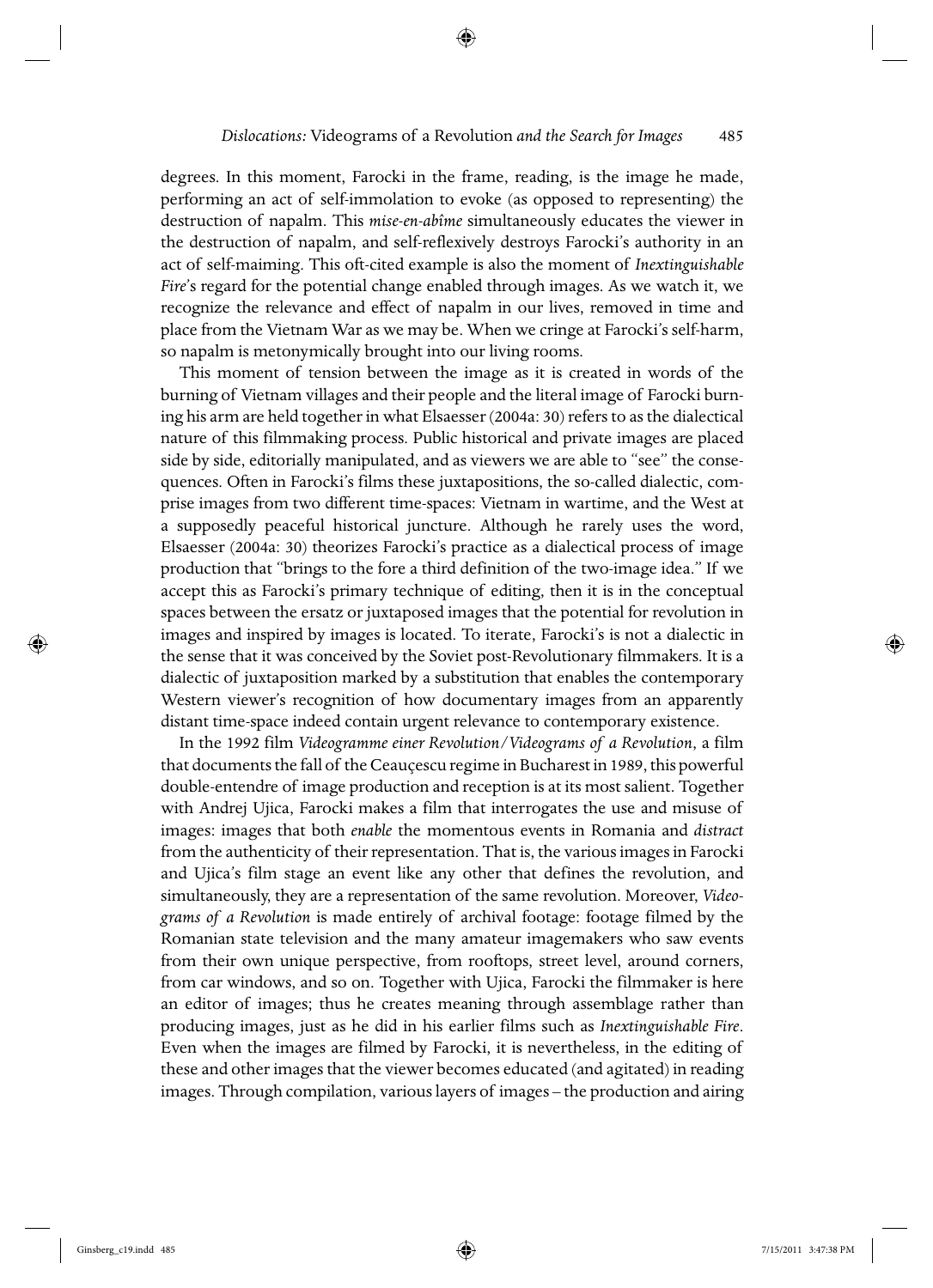degrees. In this moment, Farocki in the frame, reading, is the image he made, performing an act of self-immolation to evoke (as opposed to representing) the destruction of napalm. This *mise-en-abîme* simultaneously educates the viewer in the destruction of napalm, and self-reflexively destroys Farocki's authority in an act of self-maiming. This oft-cited example is also the moment of *Inextinguishable Fire*'s regard for the potential change enabled through images. As we watch it, we recognize the relevance and effect of napalm in our lives, removed in time and place from the Vietnam War as we may be. When we cringe at Farocki's self-harm, so napalm is metonymically brought into our living rooms.

This moment of tension between the image as it is created in words of the burning of Vietnam villages and their people and the literal image of Farocki burning his arm are held together in what Elsaesser (2004a: 30) refers to as the dialectical nature of this filmmaking process. Public historical and private images are placed side by side, editorially manipulated, and as viewers we are able to "see" the consequences. Often in Farocki's films these juxtapositions, the so-called dialectic, comprise images from two different time-spaces: Vietnam in wartime, and the West at a supposedly peaceful historical juncture. Although he rarely uses the word, Elsaesser (2004a: 30) theorizes Farocki's practice as a dialectical process of image production that "brings to the fore a third definition of the two-image idea." If we accept this as Farocki's primary technique of editing, then it is in the conceptual spaces between the ersatz or juxtaposed images that the potential for revolution in images and inspired by images is located. To iterate, Farocki's is not a dialectic in the sense that it was conceived by the Soviet post-Revolutionary filmmakers. It is a dialectic of juxtaposition marked by a substitution that enables the contemporary Western viewer's recognition of how documentary images from an apparently distant time-space indeed contain urgent relevance to contemporary existence.

In the 1992 film *Videogramme einer Revolution/Videograms of a Revolution*, a film that documents the fall of the Ceauçescu regime in Bucharest in 1989, this powerful double-entendre of image production and reception is at its most salient. Together with Andrej Ujica, Farocki makes a film that interrogates the use and misuse of images: images that both *enable* the momentous events in Romania and *distract* from the authenticity of their representation. That is, the various images in Farocki and Ujica's film stage an event like any other that defines the revolution, and simultaneously, they are a representation of the same revolution. Moreover, *Videograms of a Revolution* is made entirely of archival footage: footage filmed by the Romanian state television and the many amateur imagemakers who saw events from their own unique perspective, from rooftops, street level, around corners, from car windows, and so on. Together with Ujica, Farocki the filmmaker is here an editor of images; thus he creates meaning through assemblage rather than producing images, just as he did in his earlier films such as *Inextinguishable Fire*. Even when the images are filmed by Farocki, it is nevertheless, in the editing of these and other images that the viewer becomes educated (and agitated) in reading images. Through compilation, various layers of images – the production and airing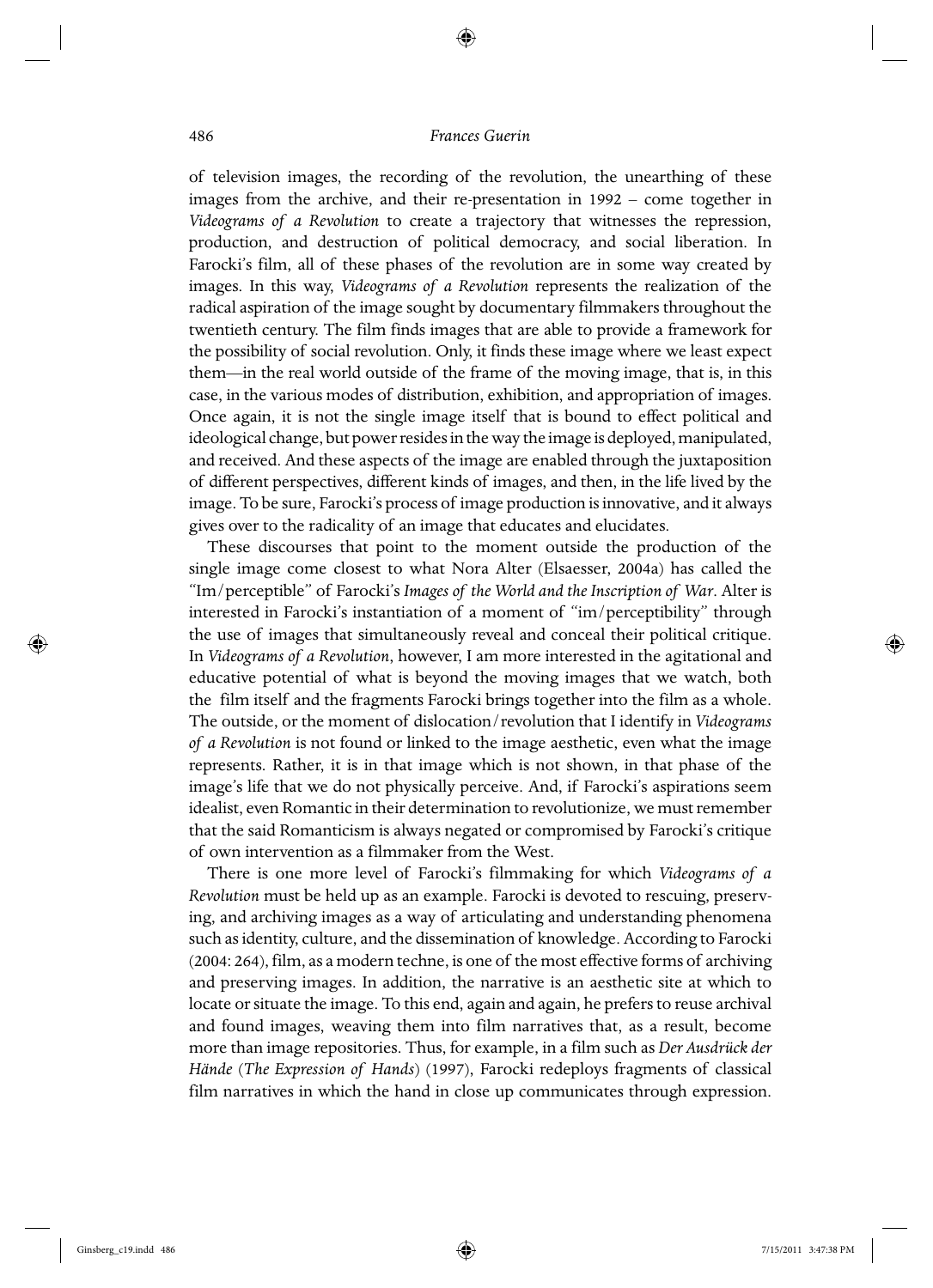⊕

of television images, the recording of the revolution, the unearthing of these images from the archive, and their re-presentation in 1992 – come together in *Videograms of a Revolution* to create a trajectory that witnesses the repression, production, and destruction of political democracy, and social liberation. In Farocki's film, all of these phases of the revolution are in some way created by images. In this way, *Videograms of a Revolution* represents the realization of the radical aspiration of the image sought by documentary filmmakers throughout the twentieth century. The film finds images that are able to provide a framework for the possibility of social revolution. Only, it finds these image where we least expect them—in the real world outside of the frame of the moving image, that is, in this case, in the various modes of distribution, exhibition, and appropriation of images. Once again, it is not the single image itself that is bound to effect political and ideological change, but power resides in the way the image is deployed, manipulated, and received. And these aspects of the image are enabled through the juxtaposition of different perspectives, different kinds of images, and then, in the life lived by the image. To be sure, Farocki's process of image production is innovative, and it always gives over to the radicality of an image that educates and elucidates.

These discourses that point to the moment outside the production of the single image come closest to what Nora Alter (Elsaesser, 2004a) has called the "Im/perceptible" of Farocki's *Images of the World and the Inscription of War*. Alter is interested in Farocki's instantiation of a moment of "im/perceptibility" through the use of images that simultaneously reveal and conceal their political critique. In *Videograms of a Revolution*, however, I am more interested in the agitational and educative potential of what is beyond the moving images that we watch, both the film itself and the fragments Farocki brings together into the film as a whole. The outside, or the moment of dislocation/revolution that I identify in *Videograms of a Revolution* is not found or linked to the image aesthetic, even what the image represents. Rather, it is in that image which is not shown, in that phase of the image's life that we do not physically perceive. And, if Farocki's aspirations seem idealist, even Romantic in their determination to revolutionize, we must remember that the said Romanticism is always negated or compromised by Farocki's critique of own intervention as a filmmaker from the West.

There is one more level of Farocki's filmmaking for which *Videograms of a Revolution* must be held up as an example. Farocki is devoted to rescuing, preserving, and archiving images as a way of articulating and understanding phenomena such as identity, culture, and the dissemination of knowledge. According to Farocki (2004: 264), film, as a modern techne, is one of the most effective forms of archiving and preserving images. In addition, the narrative is an aesthetic site at which to locate or situate the image. To this end, again and again, he prefers to reuse archival and found images, weaving them into film narratives that, as a result, become more than image repositories. Thus, for example, in a film such as *Der Ausdrück der Hände* (*The Expression of Hands*) (1997), Farocki redeploys fragments of classical film narratives in which the hand in close up communicates through expression.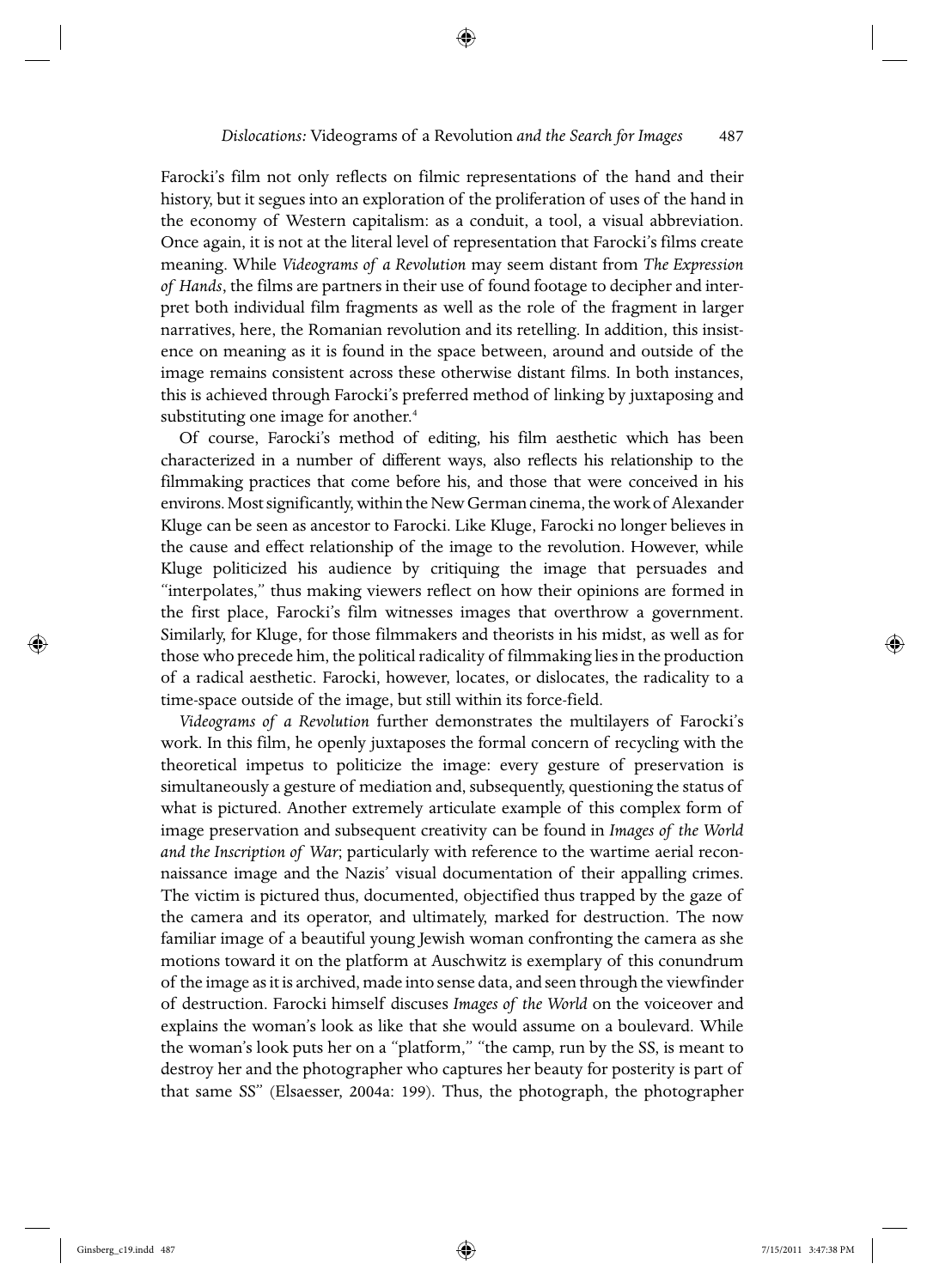Farocki's film not only reflects on filmic representations of the hand and their history, but it segues into an exploration of the proliferation of uses of the hand in the economy of Western capitalism: as a conduit, a tool, a visual abbreviation. Once again, it is not at the literal level of representation that Farocki's films create meaning. While *Videograms of a Revolution* may seem distant from *The Expression of Hands*, the films are partners in their use of found footage to decipher and interpret both individual film fragments as well as the role of the fragment in larger narratives, here, the Romanian revolution and its retelling. In addition, this insistence on meaning as it is found in the space between, around and outside of the image remains consistent across these otherwise distant films. In both instances, this is achieved through Farocki's preferred method of linking by juxtaposing and substituting one image for another.<sup>4</sup>

Of course, Farocki's method of editing, his film aesthetic which has been characterized in a number of different ways, also reflects his relationship to the filmmaking practices that come before his, and those that were conceived in his environs. Most significantly, within the New German cinema, the work of Alexander Kluge can be seen as ancestor to Farocki. Like Kluge, Farocki no longer believes in the cause and effect relationship of the image to the revolution. However, while Kluge politicized his audience by critiquing the image that persuades and "interpolates," thus making viewers reflect on how their opinions are formed in the first place, Farocki's film witnesses images that overthrow a government. Similarly, for Kluge, for those filmmakers and theorists in his midst, as well as for those who precede him, the political radicality of filmmaking lies in the production of a radical aesthetic. Farocki, however, locates, or dislocates, the radicality to a time-space outside of the image, but still within its force-field.

*Videograms of a Revolution* further demonstrates the multilayers of Farocki's work. In this film, he openly juxtaposes the formal concern of recycling with the theoretical impetus to politicize the image: every gesture of preservation is simulta neously a gesture of mediation and, subsequently, questioning the status of what is pictured. Another extremely articulate example of this complex form of image preservation and subsequent creativity can be found in *Images of the World and the Inscription of War*; particularly with reference to the wartime aerial reconnaissance image and the Nazis' visual documentation of their appalling crimes. The victim is pictured thus, documented, objectified thus trapped by the gaze of the camera and its operator, and ultimately, marked for destruction. The now familiar image of a beautiful young Jewish woman confronting the camera as she motions toward it on the platform at Auschwitz is exemplary of this conundrum of the image as it is archived, made into sense data, and seen through the viewfinder of destruction. Farocki himself discuses *Images of the World* on the voiceover and explains the woman's look as like that she would assume on a boulevard. While the woman's look puts her on a "platform," "the camp, run by the SS, is meant to destroy her and the photographer who captures her beauty for posterity is part of that same SS" (Elsaesser, 2004a: 199). Thus, the photograph, the photographer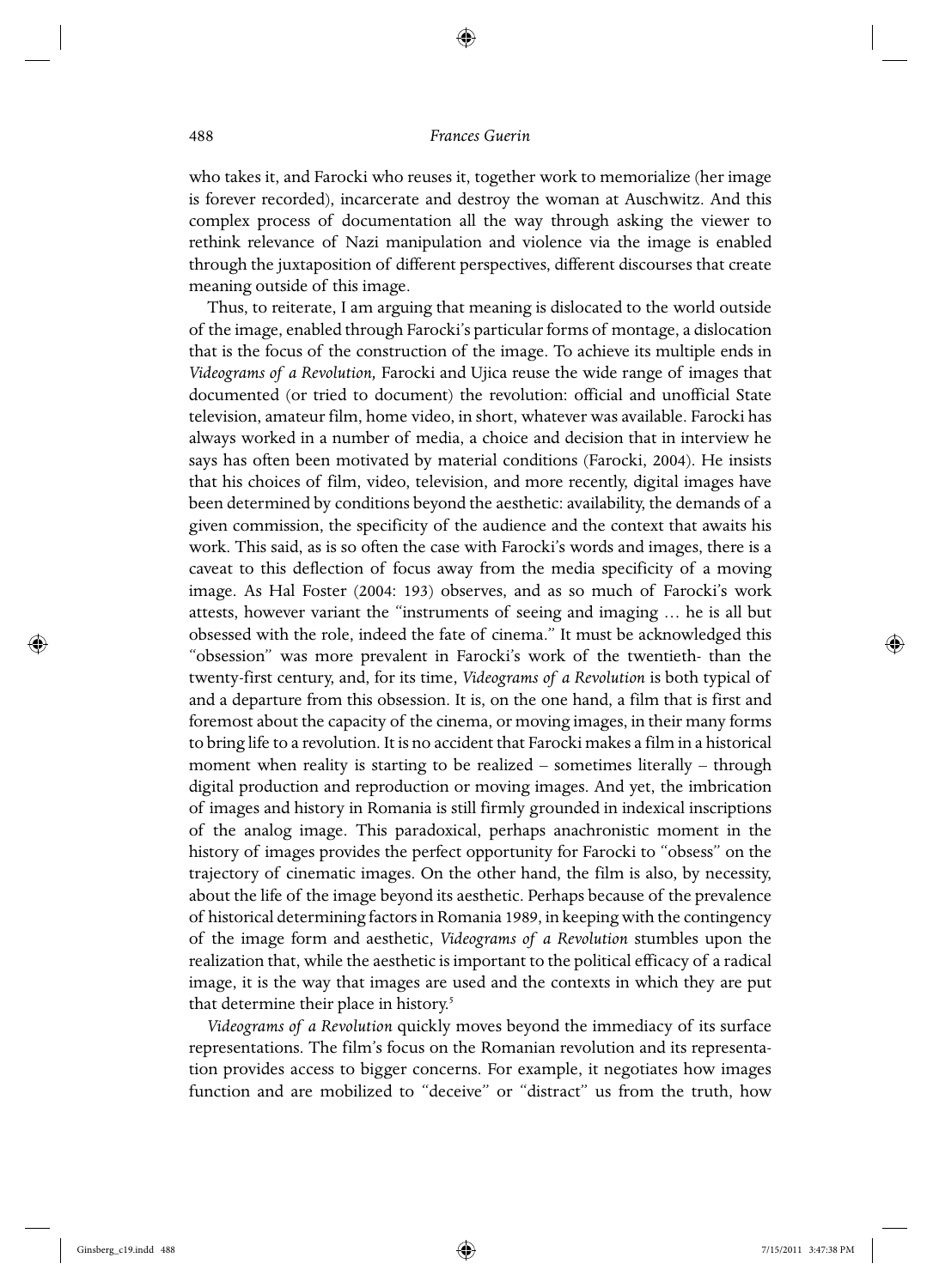⊕

who takes it, and Farocki who reuses it, together work to memorialize (her image is forever recorded), incarcerate and destroy the woman at Auschwitz. And this complex process of documentation all the way through asking the viewer to rethink relevance of Nazi manipulation and violence via the image is enabled through the juxtaposition of different perspectives, different discourses that create meaning outside of this image.

Thus, to reiterate, I am arguing that meaning is dislocated to the world outside of the image, enabled through Farocki's particular forms of montage, a dislocation that is the focus of the construction of the image. To achieve its multiple ends in *Videograms of a Revolution,* Farocki and Ujica reuse the wide range of images that documented (or tried to document) the revolution: official and unofficial State television, amateur film, home video, in short, whatever was available. Farocki has always worked in a number of media, a choice and decision that in interview he says has often been motivated by material conditions (Farocki, 2004). He insists that his choices of film, video, television, and more recently, digital images have been determined by conditions beyond the aesthetic: availability, the demands of a given commission, the specificity of the audience and the context that awaits his work. This said, as is so often the case with Farocki's words and images, there is a caveat to this deflection of focus away from the media specificity of a moving image. As Hal Foster (2004: 193) observes, and as so much of Farocki's work attests, however variant the "instruments of seeing and imaging … he is all but obsessed with the role, indeed the fate of cinema." It must be acknowledged this "obsession" was more prevalent in Farocki's work of the twentieth- than the twenty-first century, and, for its time, *Videograms of a Revolution* is both typical of and a departure from this obsession. It is, on the one hand, a film that is first and foremost about the capacity of the cinema, or moving images, in their many forms to bring life to a revolution. It is no accident that Farocki makes a film in a historical moment when reality is starting to be realized – sometimes literally – through digital production and reproduction or moving images. And yet, the imbrication of images and history in Romania is still firmly grounded in indexical inscriptions of the analog image. This paradoxical, perhaps anachronistic moment in the history of images provides the perfect opportunity for Farocki to "obsess" on the trajectory of cinematic images. On the other hand, the film is also, by necessity, about the life of the image beyond its aesthetic. Perhaps because of the prevalence of historical determining factors in Romania 1989, in keeping with the contingency of the image form and aesthetic, *Videograms of a Revolution* stumbles upon the realization that, while the aesthetic is important to the political efficacy of a radical image, it is the way that images are used and the contexts in which they are put that determine their place in history.<sup>5</sup>

*Videograms of a Revolution* quickly moves beyond the immediacy of its surface representations. The film's focus on the Romanian revolution and its representation provides access to bigger concerns. For example, it negotiates how images function and are mobilized to "deceive" or "distract" us from the truth, how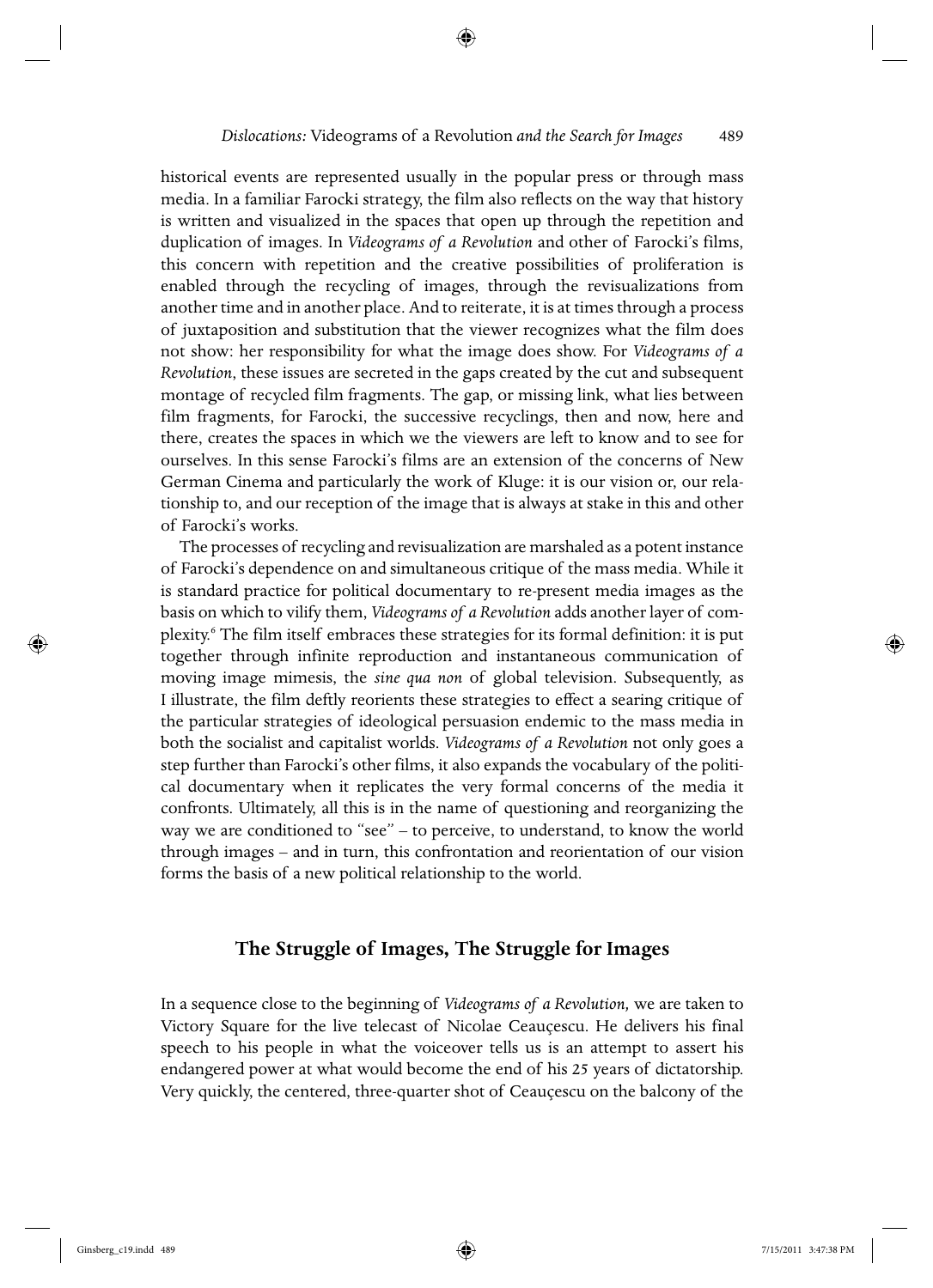### *Dislocations:* Videograms of a Revolution *and the Search for Images* 489

⊕

 historical events are represented usually in the popular press or through mass media. In a familiar Farocki strategy, the film also reflects on the way that history is written and visualized in the spaces that open up through the repetition and duplication of images. In *Videograms of a Revolution* and other of Farocki's films, this concern with repetition and the creative possibilities of proliferation is enabled through the recycling of images, through the revisualizations from another time and in another place. And to reiterate, it is at times through a process of juxtaposition and substitution that the viewer recognizes what the film does not show: her responsibility for what the image does show. For *Videograms of a Revolution*, these issues are secreted in the gaps created by the cut and subsequent montage of recycled film fragments. The gap, or missing link, what lies between film fragments, for Farocki, the successive recyclings, then and now, here and there, creates the spaces in which we the viewers are left to know and to see for ourselves. In this sense Farocki's films are an extension of the concerns of New German Cinema and particularly the work of Kluge: it is our vision or, our relationship to, and our reception of the image that is always at stake in this and other of Farocki's works.

The processes of recycling and revisualization are marshaled as a potent instance of Farocki's dependence on and simultaneous critique of the mass media. While it is standard practice for political documentary to re-present media images as the basis on which to vilify them, *Videograms of a Revolution* adds another layer of complexity.6 The film itself embraces these strategies for its formal definition: it is put together through infinite reproduction and instantaneous communication of moving image mimesis, the *sine qua non* of global television. Subsequently, as I illustrate, the film deftly reorients these strategies to effect a searing critique of the particular strategies of ideological persuasion endemic to the mass media in both the socialist and capitalist worlds. *Videograms of a Revolution* not only goes a step further than Farocki's other films, it also expands the vocabulary of the political documentary when it replicates the very formal concerns of the media it confronts. Ultimately, all this is in the name of questioning and reorganizing the way we are conditioned to "see" – to perceive, to understand, to know the world through images – and in turn, this confrontation and reorientation of our vision forms the basis of a new political relationship to the world.

# **The Struggle of Images, The Struggle for Images**

In a sequence close to the beginning of *Videograms of a Revolution,* we are taken to Victory Square for the live telecast of Nicolae Ceauçescu. He delivers his final speech to his people in what the voiceover tells us is an attempt to assert his endangered power at what would become the end of his 25 years of dictatorship. Very quickly, the centered, three-quarter shot of Ceauçescu on the balcony of the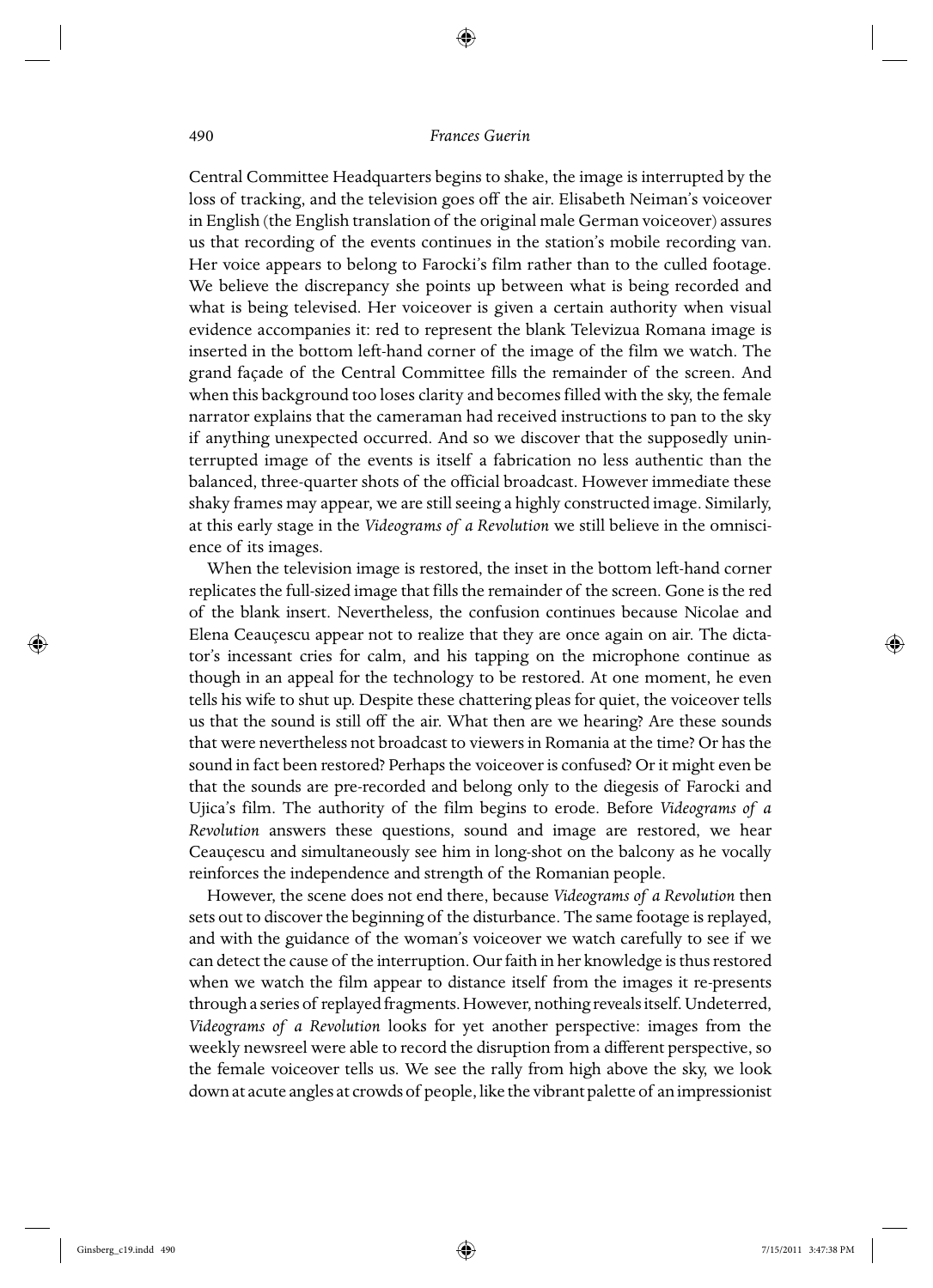⊕

Central Committee Headquarters begins to shake, the image is interrupted by the loss of tracking, and the television goes off the air. Elisabeth Neiman's voiceover in English (the English translation of the original male German voiceover) assures us that recording of the events continues in the station's mobile recording van. Her voice appears to belong to Farocki's film rather than to the culled footage. We believe the discrepancy she points up between what is being recorded and what is being televised. Her voiceover is given a certain authority when visual evidence accompanies it: red to represent the blank Televizua Romana image is inserted in the bottom left-hand corner of the image of the film we watch. The grand façade of the Central Committee fills the remainder of the screen. And when this background too loses clarity and becomes filled with the sky, the female narrator explains that the cameraman had received instructions to pan to the sky if anything unexpected occurred. And so we discover that the supposedly uninterrupted image of the events is itself a fabrication no less authentic than the balanced, three-quarter shots of the official broadcast. However immediate these shaky frames may appear, we are still seeing a highly constructed image. Similarly, at this early stage in the *Videograms of a Revolution* we still believe in the omniscience of its images.

When the television image is restored, the inset in the bottom left-hand corner replicates the full-sized image that fills the remainder of the screen. Gone is the red of the blank insert. Nevertheless, the confusion continues because Nicolae and Elena Ceauçescu appear not to realize that they are once again on air. The dictator's incessant cries for calm, and his tapping on the microphone continue as though in an appeal for the technology to be restored. At one moment, he even tells his wife to shut up. Despite these chattering pleas for quiet, the voiceover tells us that the sound is still off the air. What then are we hearing? Are these sounds that were nevertheless not broadcast to viewers in Romania at the time? Or has the sound in fact been restored? Perhaps the voiceover is confused? Or it might even be that the sounds are pre-recorded and belong only to the diegesis of Farocki and Ujica's film. The authority of the film begins to erode. Before *Videograms of a Revolution* answers these questions, sound and image are restored, we hear Ceauçescu and simultaneously see him in long-shot on the balcony as he vocally reinforces the independence and strength of the Romanian people.

However, the scene does not end there, because *Videograms of a Revolution* then sets out to discover the beginning of the disturbance. The same footage is replayed, and with the guidance of the woman's voiceover we watch carefully to see if we can detect the cause of the interruption. Our faith in her knowledge is thus restored when we watch the film appear to distance itself from the images it re-presents through a series of replayed fragments. However, nothing reveals itself. Undeterred, *Videograms of a Revolution* looks for yet another perspective: images from the weekly newsreel were able to record the disruption from a different perspective, so the female voiceover tells us. We see the rally from high above the sky, we look down at acute angles at crowds of people, like the vibrant palette of an impressionist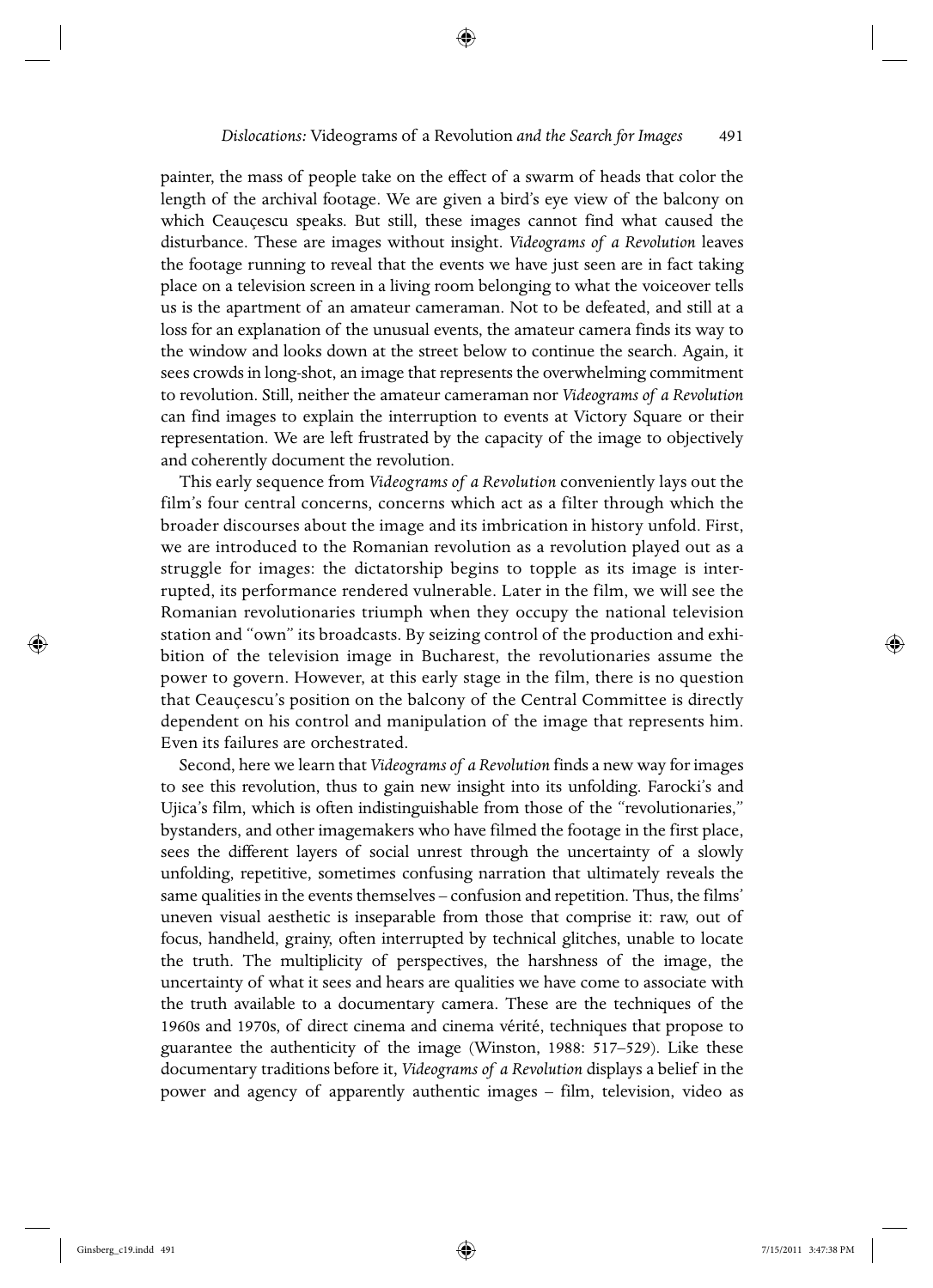painter, the mass of people take on the effect of a swarm of heads that color the length of the archival footage. We are given a bird's eye view of the balcony on which Ceauçescu speaks. But still, these images cannot find what caused the disturbance. These are images without insight. *Videograms of a Revolution* leaves the footage running to reveal that the events we have just seen are in fact taking place on a television screen in a living room belonging to what the voiceover tells us is the apartment of an amateur cameraman. Not to be defeated, and still at a loss for an explanation of the unusual events, the amateur camera finds its way to the window and looks down at the street below to continue the search. Again, it sees crowds in long-shot, an image that represents the overwhelming commitment to revolution. Still, neither the amateur cameraman nor *Videograms of a Revolution* can find images to explain the interruption to events at Victory Square or their representation. We are left frustrated by the capacity of the image to objectively and coherently document the revolution.

This early sequence from *Videograms of a Revolution* conveniently lays out the film's four central concerns, concerns which act as a filter through which the broader discourses about the image and its imbrication in history unfold. First, we are introduced to the Romanian revolution as a revolution played out as a struggle for images: the dictatorship begins to topple as its image is interrupted, its performance rendered vulnerable. Later in the film, we will see the Romanian revolutionaries triumph when they occupy the national television station and "own" its broadcasts. By seizing control of the production and exhibition of the television image in Bucharest, the revolutionaries assume the power to govern. However, at this early stage in the film, there is no question that Ceauçescu's position on the balcony of the Central Committee is directly dependent on his control and manipulation of the image that represents him. Even its failures are orchestrated.

Second, here we learn that *Videograms of a Revolution* finds a new way for images to see this revolution, thus to gain new insight into its unfolding. Farocki's and Ujica's film, which is often indistinguishable from those of the "revolutionaries," bystanders, and other imagemakers who have filmed the footage in the first place, sees the different layers of social unrest through the uncertainty of a slowly unfolding, repetitive, sometimes confusing narration that ultimately reveals the same qualities in the events themselves – confusion and repetition. Thus, the films' uneven visual aesthetic is inseparable from those that comprise it: raw, out of focus, handheld, grainy, often interrupted by technical glitches, unable to locate the truth. The multiplicity of perspectives, the harshness of the image, the uncertainty of what it sees and hears are qualities we have come to associate with the truth available to a documentary camera. These are the techniques of the 1960s and 1970s, of direct cinema and cinema vérité, techniques that propose to guarantee the authenticity of the image (Winston, 1988: 517–529). Like these documentary traditions before it, *Videograms of a Revolution* displays a belief in the power and agency of apparently authentic images – film, television, video as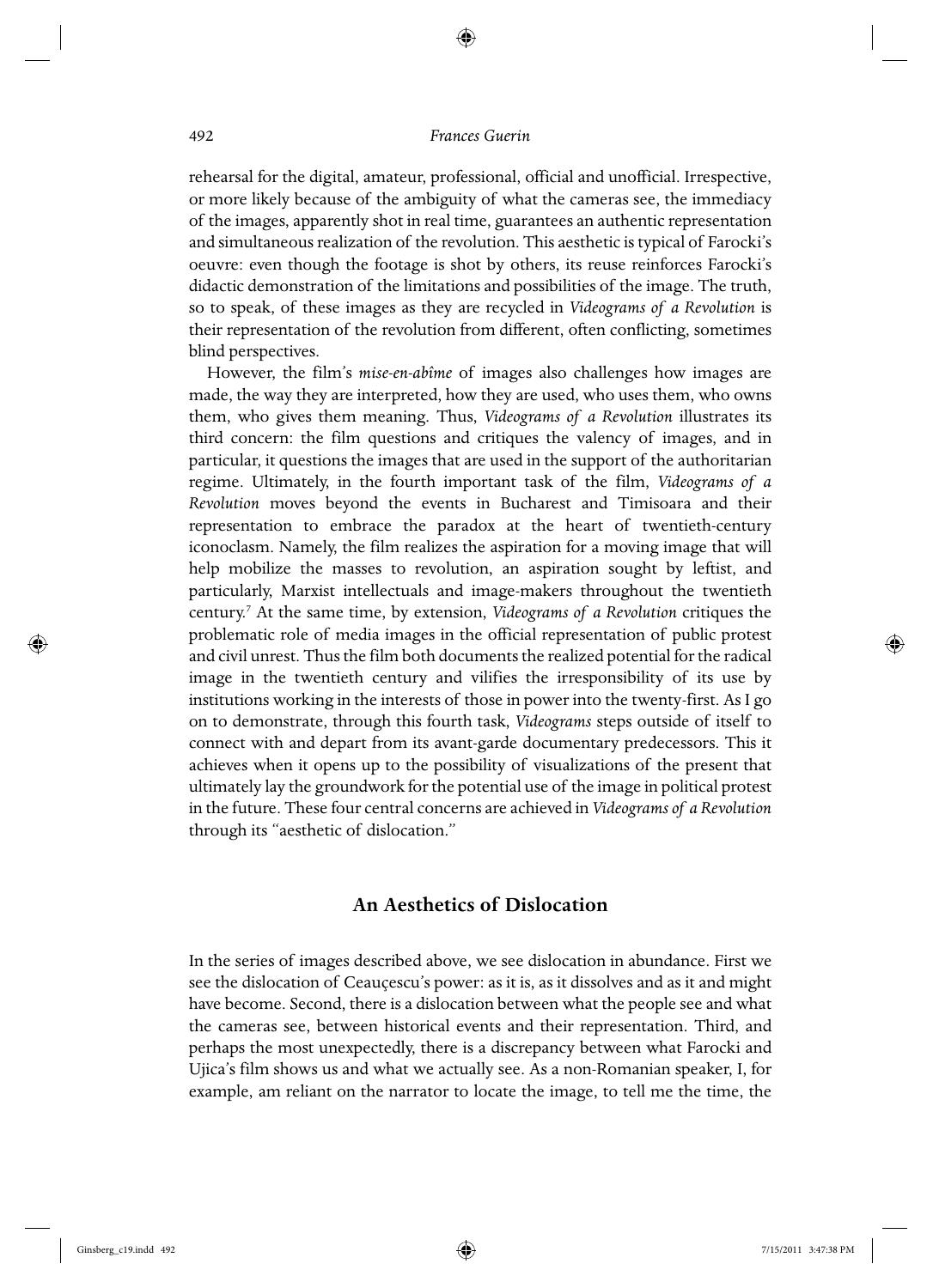⊕

rehearsal for the digital, amateur, professional, official and unofficial. Irrespective, or more likely because of the ambiguity of what the cameras see, the immediacy of the images, apparently shot in real time, guarantees an authentic representation and simultaneous realization of the revolution. This aesthetic is typical of Farocki's oeuvre: even though the footage is shot by others, its reuse reinforces Farocki's didactic demonstration of the limitations and possibilities of the image. The truth, so to speak, of these images as they are recycled in *Videograms of a Revolution* is their representation of the revolution from different, often conflicting, sometimes blind perspectives.

However, the film's *mise-en-abîme* of images also challenges how images are made, the way they are interpreted, how they are used, who uses them, who owns them, who gives them meaning. Thus, *Videograms of a Revolution* illustrates its third concern: the film questions and critiques the valency of images, and in particular, it questions the images that are used in the support of the authoritarian regime. Ultimately, in the fourth important task of the film, *Videograms of a Revolution* moves beyond the events in Bucharest and Timisoara and their representation to embrace the paradox at the heart of twentieth-century iconoclasm. Namely, the film realizes the aspiration for a moving image that will help mobilize the masses to revolution, an aspiration sought by leftist, and particularly, Marxist intellectuals and image-makers throughout the twentieth century.7 At the same time, by extension, *Videograms of a Revolution* critiques the problematic role of media images in the official representation of public protest and civil unrest. Thus the film both documents the realized potential for the radical image in the twentieth century and vilifies the irresponsibility of its use by institutions working in the interests of those in power into the twenty-first. As I go on to demonstrate, through this fourth task, *Videograms* steps outside of itself to connect with and depart from its avant-garde documentary predecessors. This it achieves when it opens up to the possibility of visualizations of the present that ultimately lay the groundwork for the potential use of the image in political protest in the future. These four central concerns are achieved in *Videograms of a Revolution* through its "aesthetic of dislocation."

# **An Aesthetics of Dislocation**

In the series of images described above, we see dislocation in abundance. First we see the dislocation of Ceauçescu's power: as it is, as it dissolves and as it and might have become. Second, there is a dislocation between what the people see and what the cameras see, between historical events and their representation. Third, and perhaps the most unexpectedly, there is a discrepancy between what Farocki and Ujica's film shows us and what we actually see. As a non-Romanian speaker, I, for example, am reliant on the narrator to locate the image, to tell me the time, the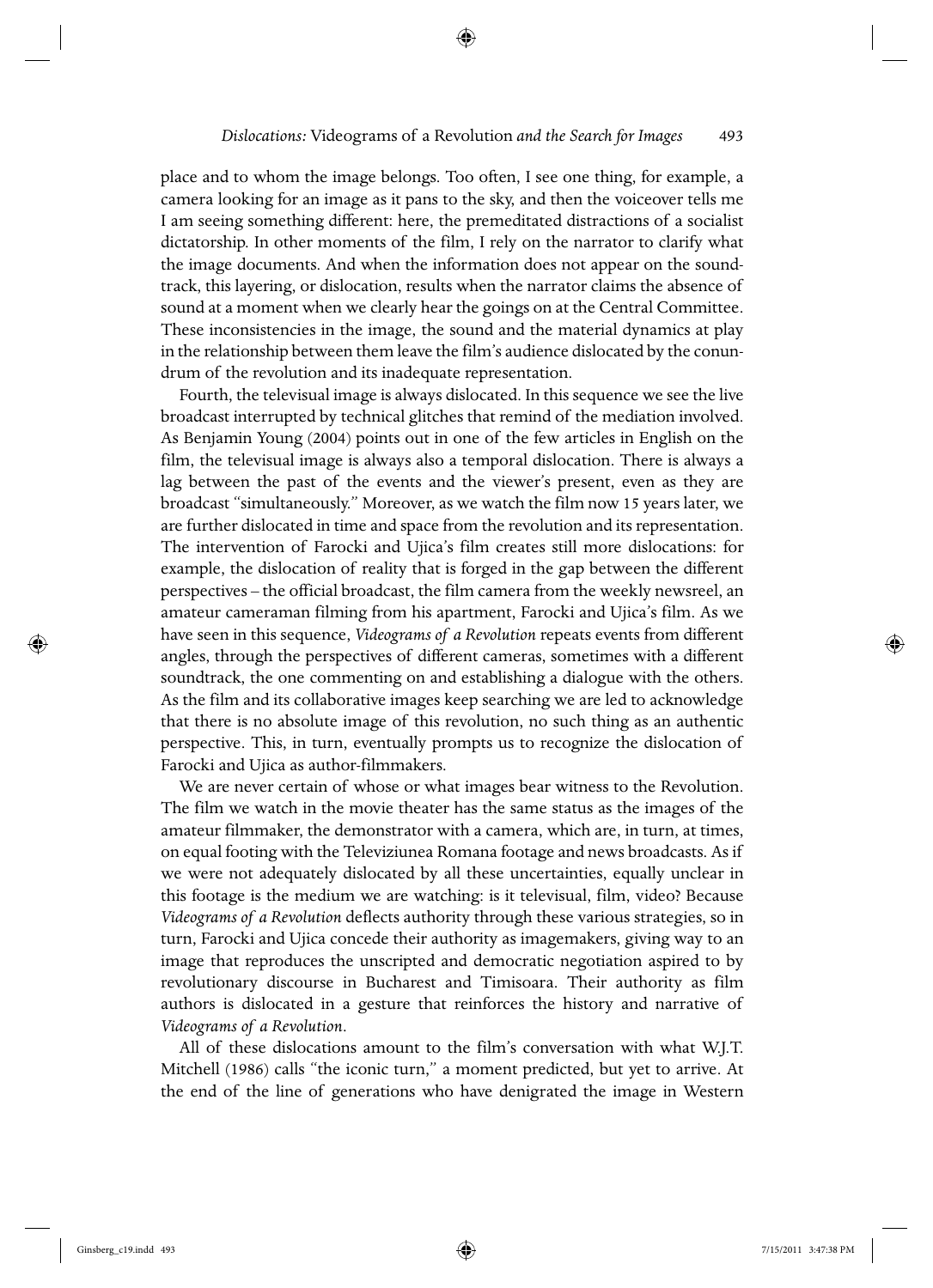place and to whom the image belongs. Too often, I see one thing, for example, a camera looking for an image as it pans to the sky, and then the voiceover tells me I am seeing something different: here, the premeditated distractions of a socialist dictatorship. In other moments of the film, I rely on the narrator to clarify what the image documents. And when the information does not appear on the soundtrack, this layering, or dislocation, results when the narrator claims the absence of sound at a moment when we clearly hear the goings on at the Central Committee. These inconsistencies in the image, the sound and the material dynamics at play in the relationship between them leave the film's audience dislocated by the conundrum of the revolution and its inadequate representation.

Fourth, the televisual image is always dislocated. In this sequence we see the live broadcast interrupted by technical glitches that remind of the mediation involved. As Benjamin Young (2004) points out in one of the few articles in English on the film, the televisual image is always also a temporal dislocation. There is always a lag between the past of the events and the viewer's present, even as they are broadcast "simultaneously." Moreover, as we watch the film now 15 years later, we are further dislocated in time and space from the revolution and its representation. The intervention of Farocki and Ujica's film creates still more dislocations: for example, the dislocation of reality that is forged in the gap between the different perspectives – the official broadcast, the film camera from the weekly newsreel, an amateur cameraman filming from his apartment, Farocki and Ujica's film. As we have seen in this sequence, *Videograms of a Revolution* repeats events from different angles, through the perspectives of different cameras, sometimes with a different soundtrack, the one commenting on and establishing a dialogue with the others. As the film and its collaborative images keep searching we are led to acknowledge that there is no absolute image of this revolution, no such thing as an authentic perspective. This, in turn, eventually prompts us to recognize the dislocation of Farocki and Ujica as author-filmmakers.

We are never certain of whose or what images bear witness to the Revolution. The film we watch in the movie theater has the same status as the images of the amateur filmmaker, the demonstrator with a camera, which are, in turn, at times, on equal footing with the Televiziunea Romana footage and news broadcasts. As if we were not adequately dislocated by all these uncertainties, equally unclear in this footage is the medium we are watching: is it televisual, film, video? Because *Videograms of a Revolution* deflects authority through these various strategies, so in turn, Farocki and Ujica concede their authority as imagemakers, giving way to an image that reproduces the unscripted and democratic negotiation aspired to by revolutionary discourse in Bucharest and Timisoara. Their authority as film authors is dislocated in a gesture that reinforces the history and narrative of *Videograms of a Revolution*.

All of these dislocations amount to the film's conversation with what W.J.T. Mitchell (1986) calls "the iconic turn," a moment predicted, but yet to arrive. At the end of the line of generations who have denigrated the image in Western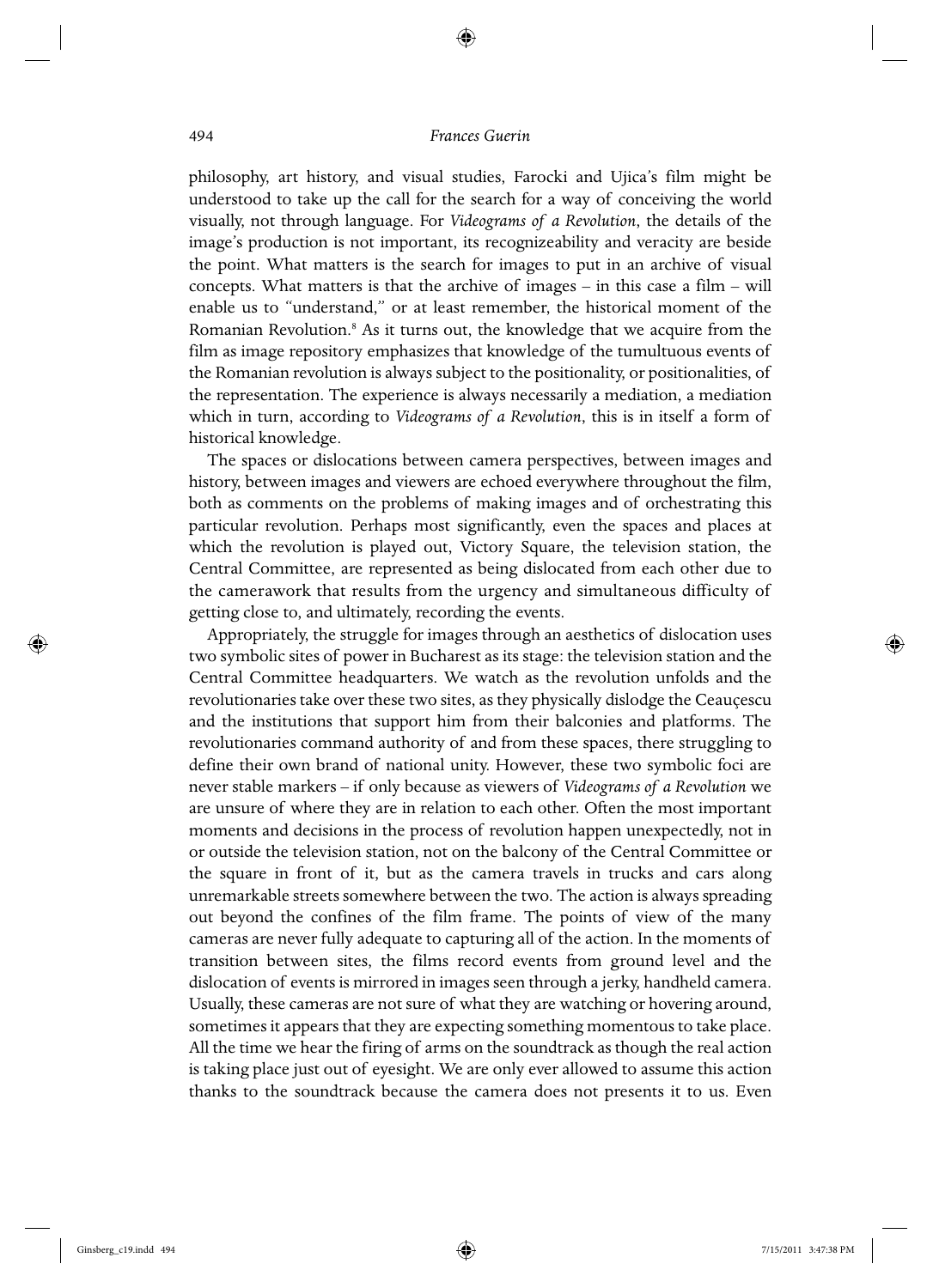⊕

philosophy, art history, and visual studies, Farocki and Ujica's film might be understood to take up the call for the search for a way of conceiving the world visually, not through language. For *Videograms of a Revolution*, the details of the image's production is not important, its recognizeability and veracity are beside the point. What matters is the search for images to put in an archive of visual concepts. What matters is that the archive of images – in this case a film – will enable us to "understand," or at least remember, the historical moment of the Romanian Revolution.<sup>8</sup> As it turns out, the knowledge that we acquire from the film as image repository emphasizes that knowledge of the tumultuous events of the Romanian revolution is always subject to the positionality, or positionalities, of the representation. The experience is always necessarily a mediation, a mediation which in turn, according to *Videograms of a Revolution*, this is in itself a form of historical knowledge.

The spaces or dislocations between camera perspectives, between images and history, between images and viewers are echoed everywhere throughout the film, both as comments on the problems of making images and of orchestrating this particular revolution. Perhaps most significantly, even the spaces and places at which the revolution is played out, Victory Square, the television station, the Central Committee, are represented as being dislocated from each other due to the camerawork that results from the urgency and simultaneous difficulty of getting close to, and ultimately, recording the events.

Appropriately, the struggle for images through an aesthetics of dislocation uses two symbolic sites of power in Bucharest as its stage: the television station and the Central Committee headquarters. We watch as the revolution unfolds and the revolutionaries take over these two sites, as they physically dislodge the Ceauçescu and the institutions that support him from their balconies and platforms. The revolutionaries command authority of and from these spaces, there struggling to define their own brand of national unity. However, these two symbolic foci are never stable markers – if only because as viewers of *Videograms of a Revolution* we are unsure of where they are in relation to each other. Often the most important moments and decisions in the process of revolution happen unexpectedly, not in or outside the television station, not on the balcony of the Central Committee or the square in front of it, but as the camera travels in trucks and cars along unremarkable streets somewhere between the two. The action is always spreading out beyond the confines of the film frame. The points of view of the many cameras are never fully adequate to capturing all of the action. In the moments of transition between sites, the films record events from ground level and the dislocation of events is mirrored in images seen through a jerky, handheld camera. Usually, these cameras are not sure of what they are watching or hovering around, sometimes it appears that they are expecting something momentous to take place. All the time we hear the firing of arms on the soundtrack as though the real action is taking place just out of eyesight. We are only ever allowed to assume this action thanks to the soundtrack because the camera does not presents it to us. Even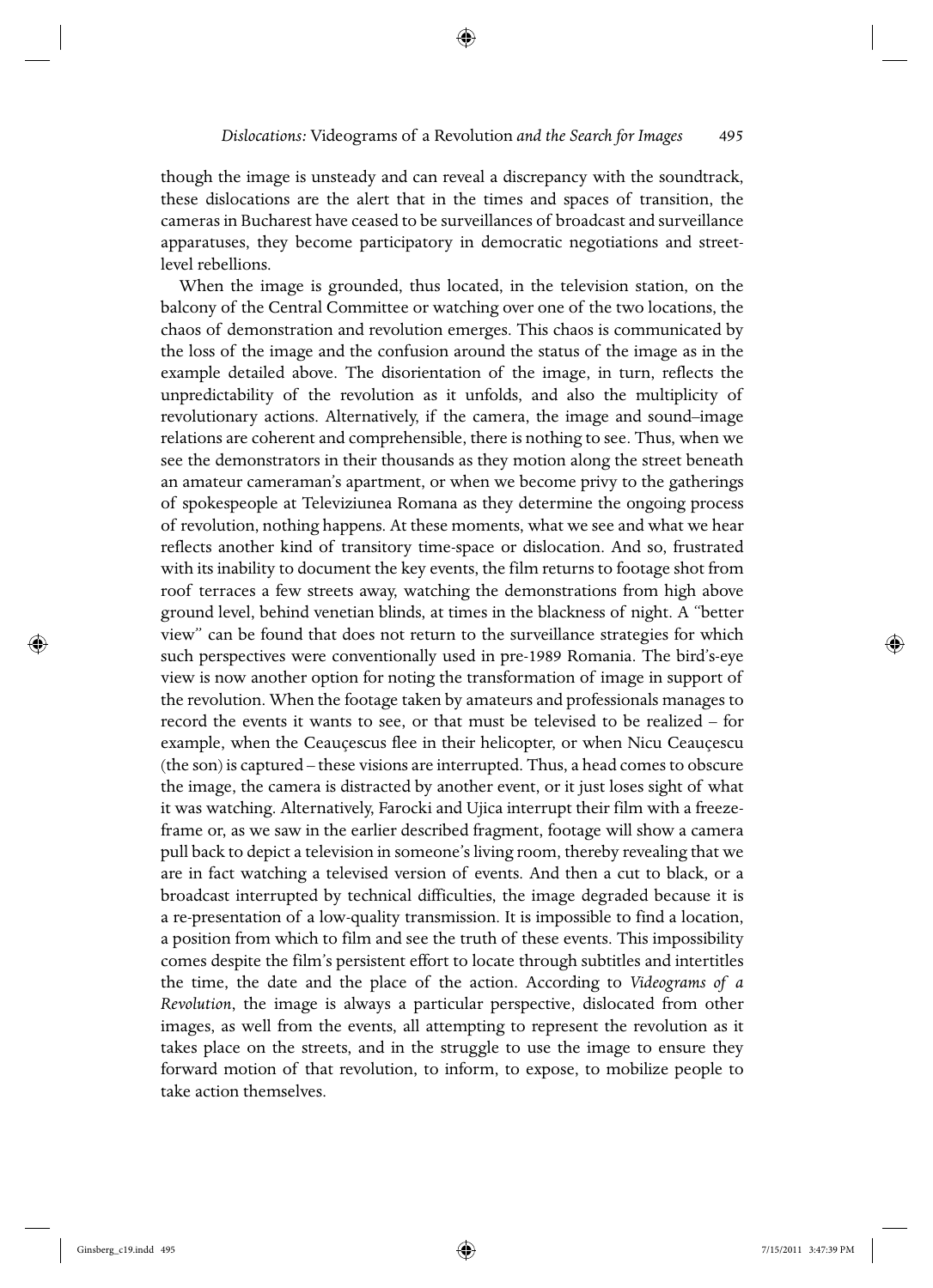though the image is unsteady and can reveal a discrepancy with the soundtrack, these dislocations are the alert that in the times and spaces of transition, the cameras in Bucharest have ceased to be surveillances of broadcast and surveillance apparatuses, they become participatory in democratic negotiations and streetlevel rebellions.

When the image is grounded, thus located, in the television station, on the balcony of the Central Committee or watching over one of the two locations, the chaos of demonstration and revolution emerges. This chaos is communicated by the loss of the image and the confusion around the status of the image as in the example detailed above. The disorientation of the image, in turn, reflects the unpredictability of the revolution as it unfolds, and also the multiplicity of revolutionary actions. Alternatively, if the camera, the image and sound–image relations are coherent and comprehensible, there is nothing to see. Thus, when we see the demonstrators in their thousands as they motion along the street beneath an amateur cameraman's apartment, or when we become privy to the gatherings of spokespeople at Televiziunea Romana as they determine the ongoing process of revolution, nothing happens. At these moments, what we see and what we hear reflects another kind of transitory time-space or dislocation. And so, frustrated with its inability to document the key events, the film returns to footage shot from roof terraces a few streets away, watching the demonstrations from high above ground level, behind venetian blinds, at times in the blackness of night. A "better view" can be found that does not return to the surveillance strategies for which such perspectives were conventionally used in pre-1989 Romania. The bird's-eye view is now another option for noting the transformation of image in support of the revolution. When the footage taken by amateurs and professionals manages to record the events it wants to see, or that must be televised to be realized – for example, when the Ceauçescus flee in their helicopter, or when Nicu Ceauçescu (the son) is captured – these visions are interrupted. Thus, a head comes to obscure the image, the camera is distracted by another event, or it just loses sight of what it was watching. Alternatively, Farocki and Ujica interrupt their film with a freezeframe or, as we saw in the earlier described fragment, footage will show a camera pull back to depict a television in someone's living room, thereby revealing that we are in fact watching a televised version of events. And then a cut to black, or a broadcast interrupted by technical difficulties, the image degraded because it is a re-presentation of a low-quality transmission. It is impossible to find a location, a position from which to film and see the truth of these events. This impossibility comes despite the film's persistent effort to locate through subtitles and intertitles the time, the date and the place of the action. According to *Videograms of a Revolution*, the image is always a particular perspective, dislocated from other images, as well from the events, all attempting to represent the revolution as it takes place on the streets, and in the struggle to use the image to ensure they forward motion of that revolution, to inform, to expose, to mobilize people to take action themselves.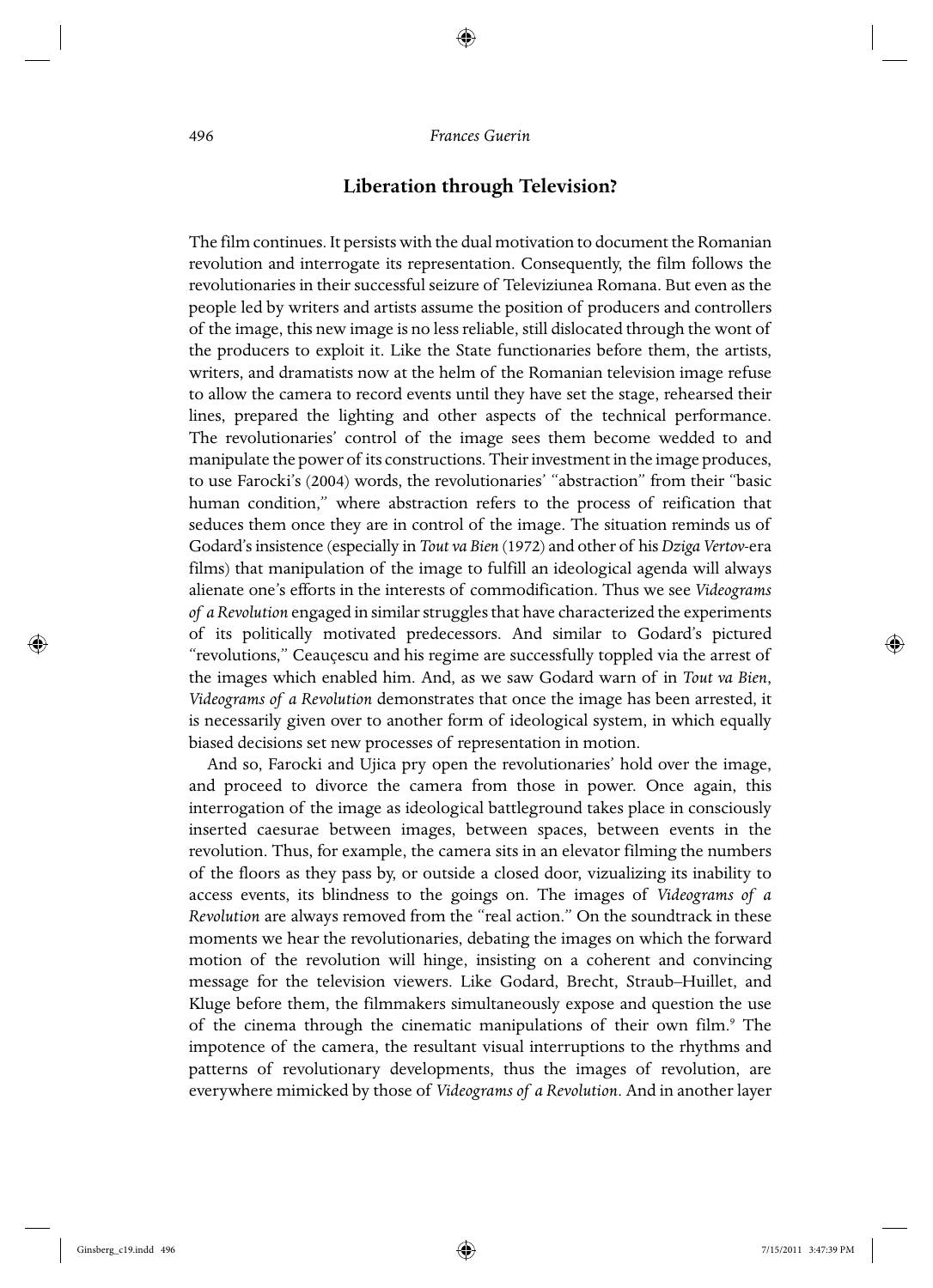# **Liberation through Television?**

The film continues. It persists with the dual motivation to document the Romanian revolution and interrogate its representation. Consequently, the film follows the revolutionaries in their successful seizure of Televiziunea Romana. But even as the people led by writers and artists assume the position of producers and controllers of the image, this new image is no less reliable, still dislocated through the wont of the producers to exploit it. Like the State functionaries before them, the artists, writers, and dramatists now at the helm of the Romanian television image refuse to allow the camera to record events until they have set the stage, rehearsed their lines, prepared the lighting and other aspects of the technical performance. The revolutionaries' control of the image sees them become wedded to and manipulate the power of its constructions. Their investment in the image produces, to use Farocki's (2004) words, the revolutionaries' "abstraction" from their "basic human condition," where abstraction refers to the process of reification that seduces them once they are in control of the image. The situation reminds us of Godard's insistence (especially in *Tout va Bien* (1972) and other of his *Dziga Vertov*-era films) that manipulation of the image to fulfill an ideological agenda will always alienate one's efforts in the interests of commodification. Thus we see *Videograms of a Revolution* engaged in similar struggles that have characterized the experiments of its politically motivated predecessors. And similar to Godard's pictured "revolutions," Ceauçescu and his regime are successfully toppled via the arrest of the images which enabled him. And, as we saw Godard warn of in *Tout va Bien*, *Videograms of a Revolution* demonstrates that once the image has been arrested, it is necessarily given over to another form of ideological system, in which equally biased decisions set new processes of representation in motion.

And so, Farocki and Ujica pry open the revolutionaries' hold over the image, and proceed to divorce the camera from those in power. Once again, this interrogation of the image as ideological battleground takes place in consciously inserted caesurae between images, between spaces, between events in the revolution. Thus, for example, the camera sits in an elevator filming the numbers of the floors as they pass by, or outside a closed door, vizualizing its inability to access events, its blindness to the goings on. The images of *Videograms of a Revolution* are always removed from the "real action." On the soundtrack in these moments we hear the revolutionaries, debating the images on which the forward motion of the revolution will hinge, insisting on a coherent and convincing message for the television viewers. Like Godard, Brecht, Straub–Huillet, and Kluge before them, the filmmakers simultaneously expose and question the use of the cinema through the cinematic manipulations of their own film.<sup>9</sup> The impotence of the camera, the resultant visual interruptions to the rhythms and patterns of revolutionary developments, thus the images of revolution, are everywhere mimicked by those of *Videograms of a Revolution*. And in another layer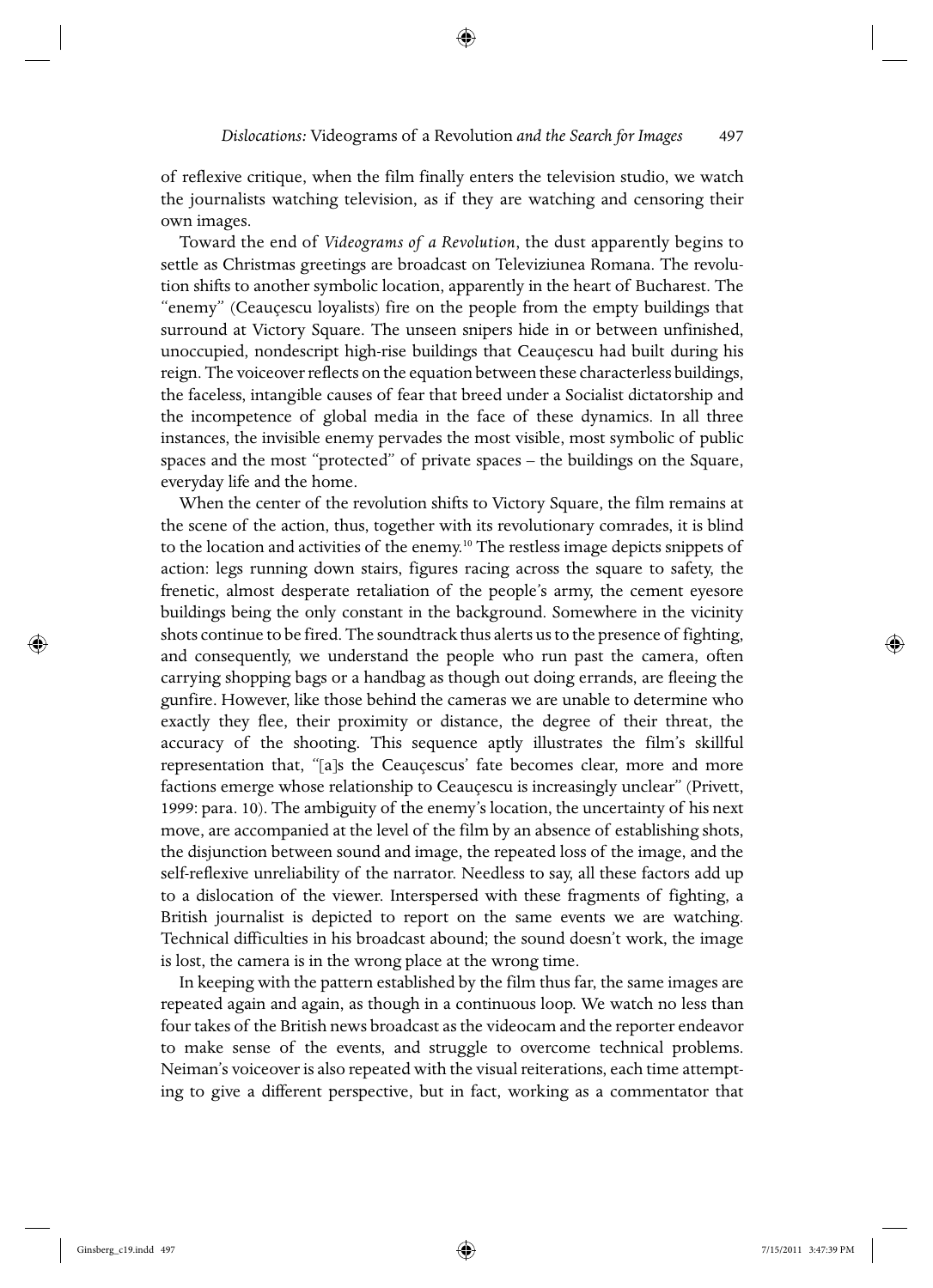of reflexive critique, when the film finally enters the television studio, we watch the journalists watching television, as if they are watching and censoring their own images.

Toward the end of *Videograms of a Revolution*, the dust apparently begins to settle as Christmas greetings are broadcast on Televiziunea Romana. The revolution shifts to another symbolic location, apparently in the heart of Bucharest. The "enemy" (Ceauçescu loyalists) fire on the people from the empty buildings that surround at Victory Square. The unseen snipers hide in or between unfinished, unoccupied, nondescript high-rise buildings that Ceauçescu had built during his reign. The voiceover reflects on the equation between these characterless buildings, the faceless, intangible causes of fear that breed under a Socialist dictatorship and the incompetence of global media in the face of these dynamics. In all three instances, the invisible enemy pervades the most visible, most symbolic of public spaces and the most "protected" of private spaces – the buildings on the Square, everyday life and the home.

When the center of the revolution shifts to Victory Square, the film remains at the scene of the action, thus, together with its revolutionary comrades, it is blind to the location and activities of the enemy.10 The restless image depicts snippets of action: legs running down stairs, figures racing across the square to safety, the frenetic, almost desperate retaliation of the people's army, the cement eyesore buildings being the only constant in the background. Somewhere in the vicinity shots continue to be fired. The soundtrack thus alerts us to the presence of fighting, and consequently, we understand the people who run past the camera, often carrying shopping bags or a handbag as though out doing errands, are fleeing the gunfire. However, like those behind the cameras we are unable to determine who exactly they flee, their proximity or distance, the degree of their threat, the accuracy of the shooting. This sequence aptly illustrates the film's skillful representation that, "[a]s the Ceauçescus' fate becomes clear, more and more factions emerge whose relationship to Ceauçescu is increasingly unclear" (Privett, 1999: para. 10). The ambiguity of the enemy's location, the uncertainty of his next move, are accompanied at the level of the film by an absence of establishing shots, the disjunction between sound and image, the repeated loss of the image, and the self-reflexive unreliability of the narrator. Needless to say, all these factors add up to a dislocation of the viewer. Interspersed with these fragments of fighting, a British journalist is depicted to report on the same events we are watching. Technical difficulties in his broadcast abound; the sound doesn't work, the image is lost, the camera is in the wrong place at the wrong time.

In keeping with the pattern established by the film thus far, the same images are repeated again and again, as though in a continuous loop. We watch no less than four takes of the British news broadcast as the videocam and the reporter endeavor to make sense of the events, and struggle to overcome technical problems. Neiman's voiceover is also repeated with the visual reiterations, each time attempting to give a different perspective, but in fact, working as a commentator that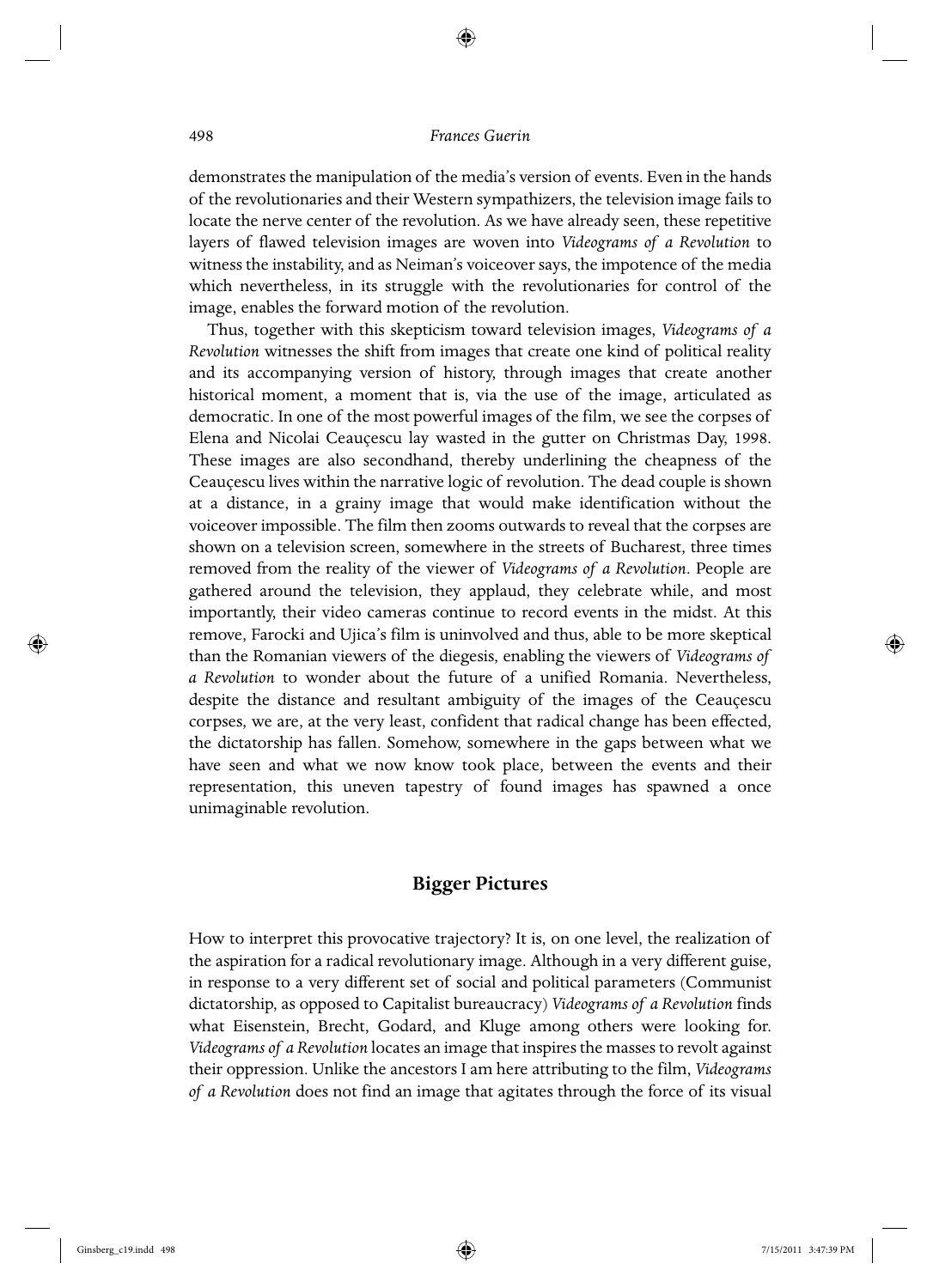⊕

demonstrates the manipulation of the media's version of events. Even in the hands of the revolutionaries and their Western sympathizers, the television image fails to locate the nerve center of the revolution. As we have already seen, these repetitive layers of flawed television images are woven into *Videograms of a Revolution* to witness the instability, and as Neiman's voiceover says, the impotence of the media which nevertheless, in its struggle with the revolutionaries for control of the image, enables the forward motion of the revolution.

Thus, together with this skepticism toward television images, *Videograms of a Revolution* witnesses the shift from images that create one kind of political reality and its accompanying version of history, through images that create another historical moment, a moment that is, via the use of the image, articulated as democratic. In one of the most powerful images of the film, we see the corpses of Elena and Nicolai Ceauçescu lay wasted in the gutter on Christmas Day, 1998. These images are also secondhand, thereby underlining the cheapness of the Ceauçescu lives within the narrative logic of revolution. The dead couple is shown at a distance, in a grainy image that would make identification without the voiceover impossible. The film then zooms outwards to reveal that the corpses are shown on a television screen, somewhere in the streets of Bucharest, three times removed from the reality of the viewer of *Videograms of a Revolution*. People are gathered around the television, they applaud, they celebrate while, and most importantly, their video cameras continue to record events in the midst. At this remove, Farocki and Ujica's film is uninvolved and thus, able to be more skeptical than the Romanian viewers of the diegesis, enabling the viewers of *Videograms of a Revolution* to wonder about the future of a unified Romania. Nevertheless, despite the distance and resultant ambiguity of the images of the Ceauçescu corpses, we are, at the very least, confident that radical change has been effected, the dictatorship has fallen. Somehow, somewhere in the gaps between what we have seen and what we now know took place, between the events and their representation, this uneven tapestry of found images has spawned a once unimaginable revolution.

# **Bigger Pictures**

How to interpret this provocative trajectory? It is, on one level, the realization of the aspiration for a radical revolutionary image. Although in a very different guise, in response to a very different set of social and political parameters (Communist dictatorship, as opposed to Capitalist bureaucracy) *Videograms of a Revolution* finds what Eisenstein, Brecht, Godard, and Kluge among others were looking for. *Videograms of a Revolution* locates an image that inspires the masses to revolt against their oppression. Unlike the ancestors I am here attributing to the film, *Videograms of a Revolution* does not find an image that agitates through the force of its visual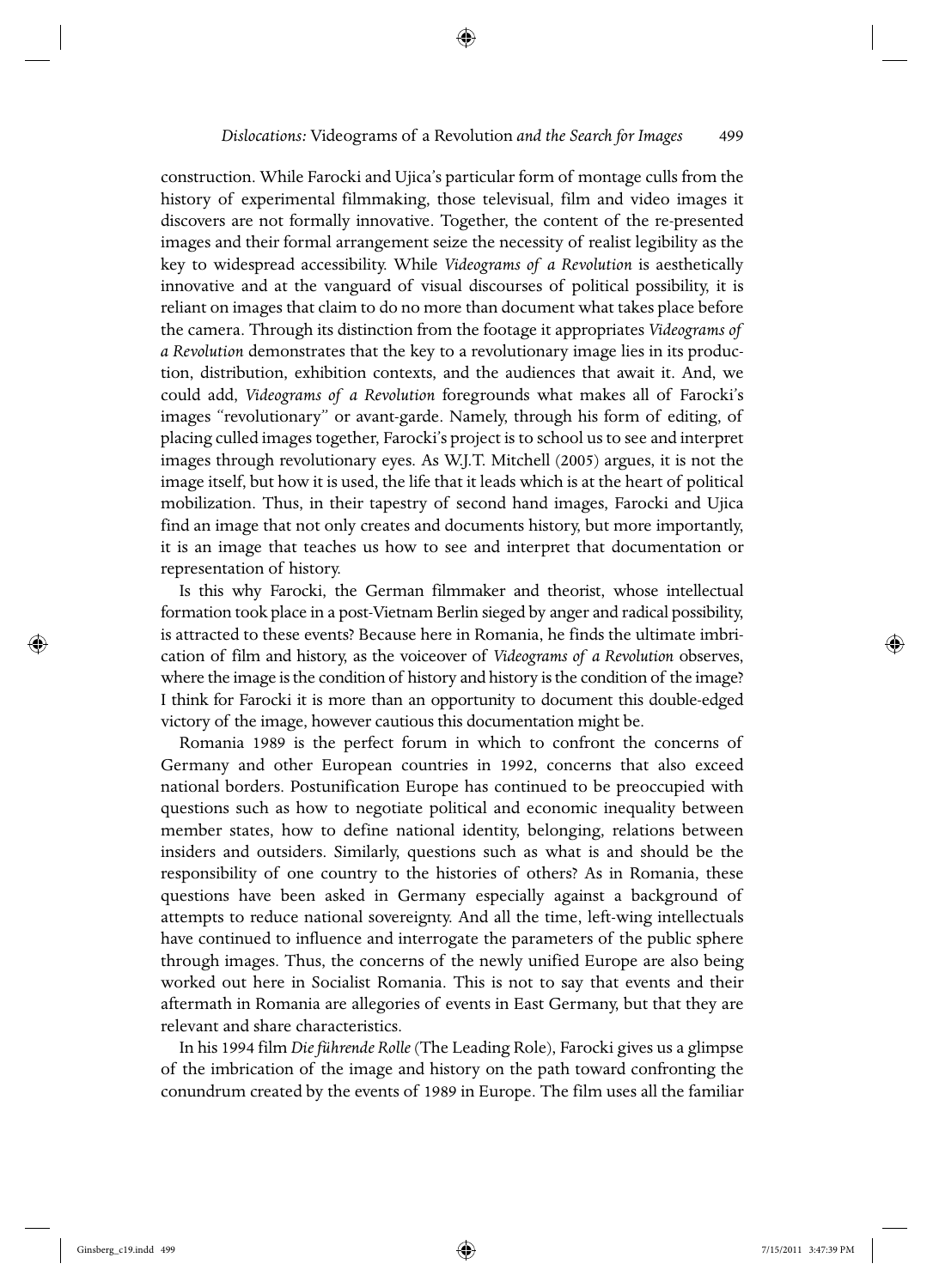construction. While Farocki and Ujica's particular form of montage culls from the history of experimental filmmaking, those televisual, film and video images it discovers are not formally innovative. Together, the content of the re-presented images and their formal arrangement seize the necessity of realist legibility as the key to widespread accessibility. While *Videograms of a Revolution* is aesthetically innovative and at the vanguard of visual discourses of political possibility, it is reliant on images that claim to do no more than document what takes place before the camera. Through its distinction from the footage it appropriates *Videograms of a Revolution* demonstrates that the key to a revolutionary image lies in its production, distribution, exhibition contexts, and the audiences that await it. And, we could add, *Videograms of a Revolution* foregrounds what makes all of Farocki's images "revolutionary" or avant-garde. Namely, through his form of editing, of placing culled images together, Farocki's project is to school us to see and interpret images through revolutionary eyes. As W.J.T. Mitchell (2005) argues, it is not the image itself, but how it is used, the life that it leads which is at the heart of political mobilization. Thus, in their tapestry of second hand images, Farocki and Ujica find an image that not only creates and documents history, but more importantly, it is an image that teaches us how to see and interpret that documentation or representation of history.

Is this why Farocki, the German filmmaker and theorist, whose intellectual formation took place in a post-Vietnam Berlin sieged by anger and radical possibility, is attracted to these events? Because here in Romania, he finds the ultimate imbrication of film and history, as the voiceover of *Videograms of a Revolution* observes, where the image is the condition of history and history is the condition of the image? I think for Farocki it is more than an opportunity to document this double-edged victory of the image, however cautious this documentation might be.

Romania 1989 is the perfect forum in which to confront the concerns of Germany and other European countries in 1992, concerns that also exceed national borders. Postunification Europe has continued to be preoccupied with questions such as how to negotiate political and economic inequality between member states, how to define national identity, belonging, relations between insiders and outsiders. Similarly, questions such as what is and should be the responsibility of one country to the histories of others? As in Romania, these questions have been asked in Germany especially against a background of attempts to reduce national sovereignty. And all the time, left-wing intellectuals have continued to influence and interrogate the parameters of the public sphere through images. Thus, the concerns of the newly unified Europe are also being worked out here in Socialist Romania. This is not to say that events and their aftermath in Romania are allegories of events in East Germany, but that they are relevant and share characteristics.

In his 1994 film *Die führende Rolle* (The Leading Role), Farocki gives us a glimpse of the imbrication of the image and history on the path toward confronting the conundrum created by the events of 1989 in Europe. The film uses all the familiar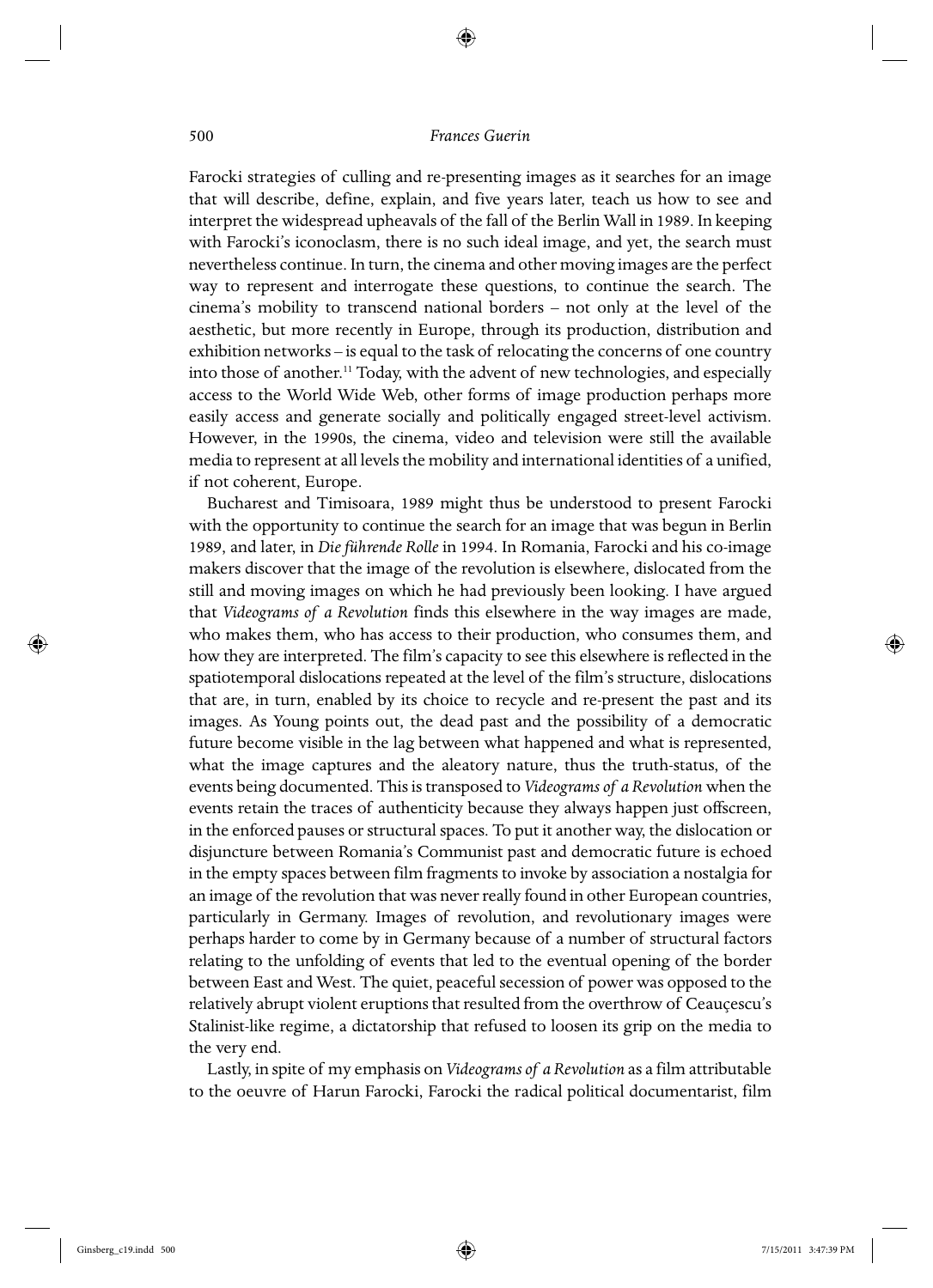⊕

Farocki strategies of culling and re-presenting images as it searches for an image that will describe, define, explain, and five years later, teach us how to see and interpret the widespread upheavals of the fall of the Berlin Wall in 1989. In keeping with Farocki's iconoclasm, there is no such ideal image, and yet, the search must nevertheless continue. In turn, the cinema and other moving images are the perfect way to represent and interrogate these questions, to continue the search. The cinema's mobility to transcend national borders – not only at the level of the aesthetic, but more recently in Europe, through its production, distribution and exhibition networks – is equal to the task of relocating the concerns of one country into those of another.<sup>11</sup> Today, with the advent of new technologies, and especially access to the World Wide Web, other forms of image production perhaps more easily access and generate socially and politically engaged street-level activism. However, in the 1990s, the cinema, video and television were still the available media to represent at all levels the mobility and international identities of a unified, if not coherent, Europe.

Bucharest and Timisoara, 1989 might thus be understood to present Farocki with the opportunity to continue the search for an image that was begun in Berlin 1989, and later, in *Die führende Rolle* in 1994. In Romania, Farocki and his co-image makers discover that the image of the revolution is elsewhere, dislocated from the still and moving images on which he had previously been looking. I have argued that *Videograms of a Revolution* finds this elsewhere in the way images are made, who makes them, who has access to their production, who consumes them, and how they are interpreted. The film's capacity to see this elsewhere is reflected in the spatiotemporal dislocations repeated at the level of the film's structure, dislocations that are, in turn, enabled by its choice to recycle and re-present the past and its images. As Young points out, the dead past and the possibility of a democratic future become visible in the lag between what happened and what is represented, what the image captures and the aleatory nature, thus the truth-status, of the events being documented. This is transposed to *Videograms of a Revolution* when the events retain the traces of authenticity because they always happen just offscreen, in the enforced pauses or structural spaces. To put it another way, the dislocation or disjuncture between Romania's Communist past and democratic future is echoed in the empty spaces between film fragments to invoke by association a nostalgia for an image of the revolution that was never really found in other European countries, particularly in Germany. Images of revolution, and revolutionary images were perhaps harder to come by in Germany because of a number of structural factors relating to the unfolding of events that led to the eventual opening of the border between East and West. The quiet, peaceful secession of power was opposed to the relatively abrupt violent eruptions that resulted from the overthrow of Ceauçescu's Stalinist-like regime, a dictatorship that refused to loosen its grip on the media to the very end.

Lastly, in spite of my emphasis on *Videograms of a Revolution* as a film attributable to the oeuvre of Harun Farocki, Farocki the radical political documentarist, film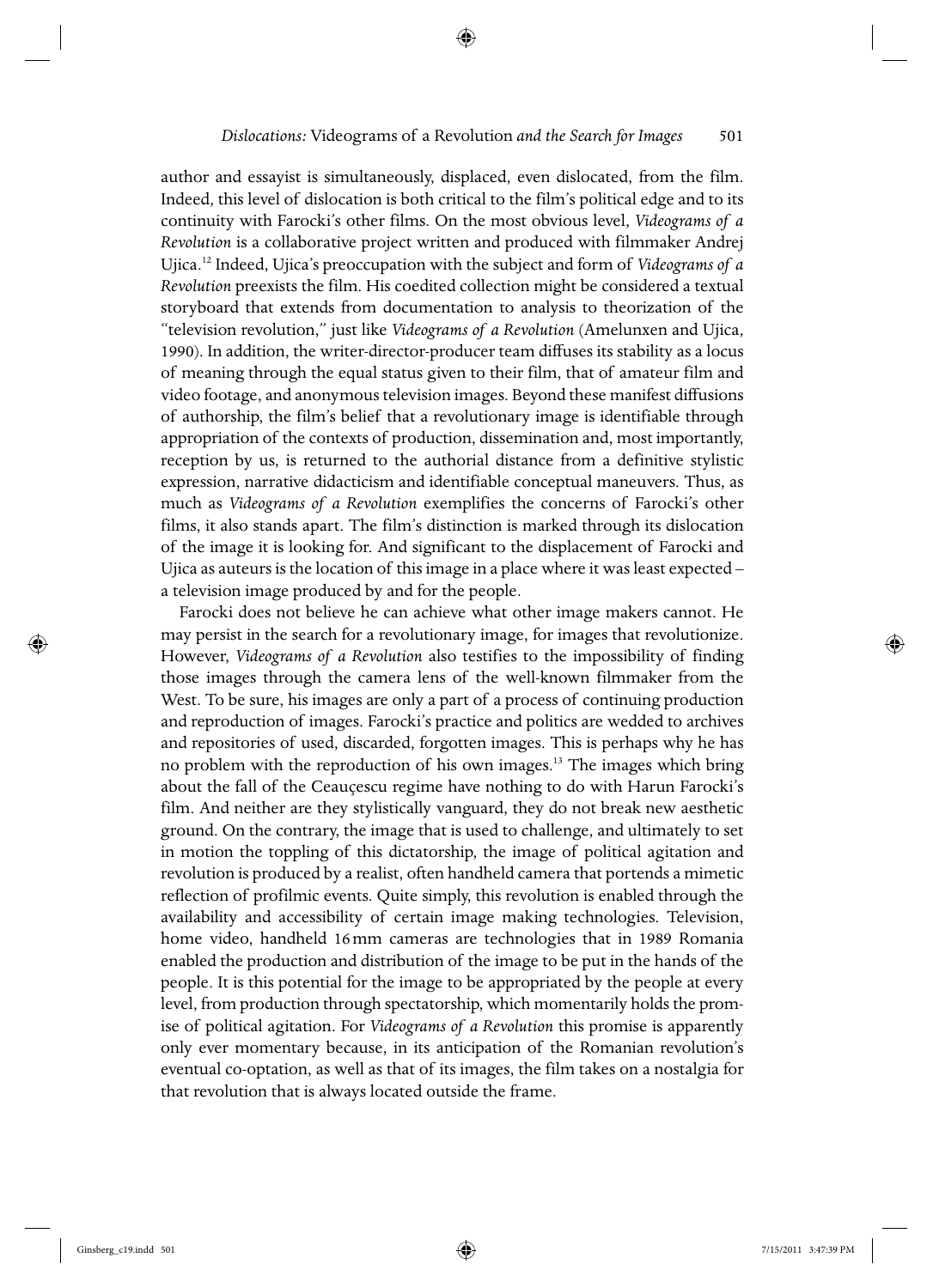author and essayist is simultaneously, displaced, even dislocated, from the film. Indeed, this level of dislocation is both critical to the film's political edge and to its continuity with Farocki's other films. On the most obvious level, *Videograms of a Revolution* is a collaborative project written and produced with filmmaker Andrej Ujica.12 Indeed, Ujica's preoccupation with the subject and form of *Videograms of a Revolution* preexists the film. His coedited collection might be considered a textual storyboard that extends from documentation to analysis to theorization of the "television revolution," just like *Videograms of a Revolution* (Amelunxen and Ujica, 1990). In addition, the writer-director-producer team diffuses its stability as a locus of meaning through the equal status given to their film, that of amateur film and video footage, and anonymous television images. Beyond these manifest diffusions of authorship, the film's belief that a revolutionary image is identifiable through appropriation of the contexts of production, dissemination and, most importantly, reception by us, is returned to the authorial distance from a definitive stylistic expression, narrative didacticism and identifiable conceptual maneuvers. Thus, as much as *Videograms of a Revolution* exemplifies the concerns of Farocki's other films, it also stands apart. The film's distinction is marked through its dislocation of the image it is looking for. And significant to the displacement of Farocki and Ujica as auteurs is the location of this image in a place where it was least expected – a television image produced by and for the people.

Farocki does not believe he can achieve what other image makers cannot. He may persist in the search for a revolutionary image, for images that revolutionize. However, *Videograms of a Revolution* also testifies to the impossibility of finding those images through the camera lens of the well-known filmmaker from the West. To be sure, his images are only a part of a process of continuing production and reproduction of images. Farocki's practice and politics are wedded to archives and repositories of used, discarded, forgotten images. This is perhaps why he has no problem with the reproduction of his own images.13 The images which bring about the fall of the Ceauçescu regime have nothing to do with Harun Farocki's film. And neither are they stylistically vanguard, they do not break new aesthetic ground. On the contrary, the image that is used to challenge, and ultimately to set in motion the toppling of this dictatorship, the image of political agitation and revolution is produced by a realist, often handheld camera that portends a mimetic reflection of profilmic events. Quite simply, this revolution is enabled through the availability and accessibility of certain image making technologies. Television, home video, handheld 16 mm cameras are technologies that in 1989 Romania enabled the production and distribution of the image to be put in the hands of the people. It is this potential for the image to be appropriated by the people at every level, from production through spectatorship, which momentarily holds the promise of political agitation. For *Videograms of a Revolution* this promise is apparently only ever momentary because, in its anticipation of the Romanian revolution's eventual co-optation, as well as that of its images, the film takes on a nostalgia for that revolution that is always located outside the frame.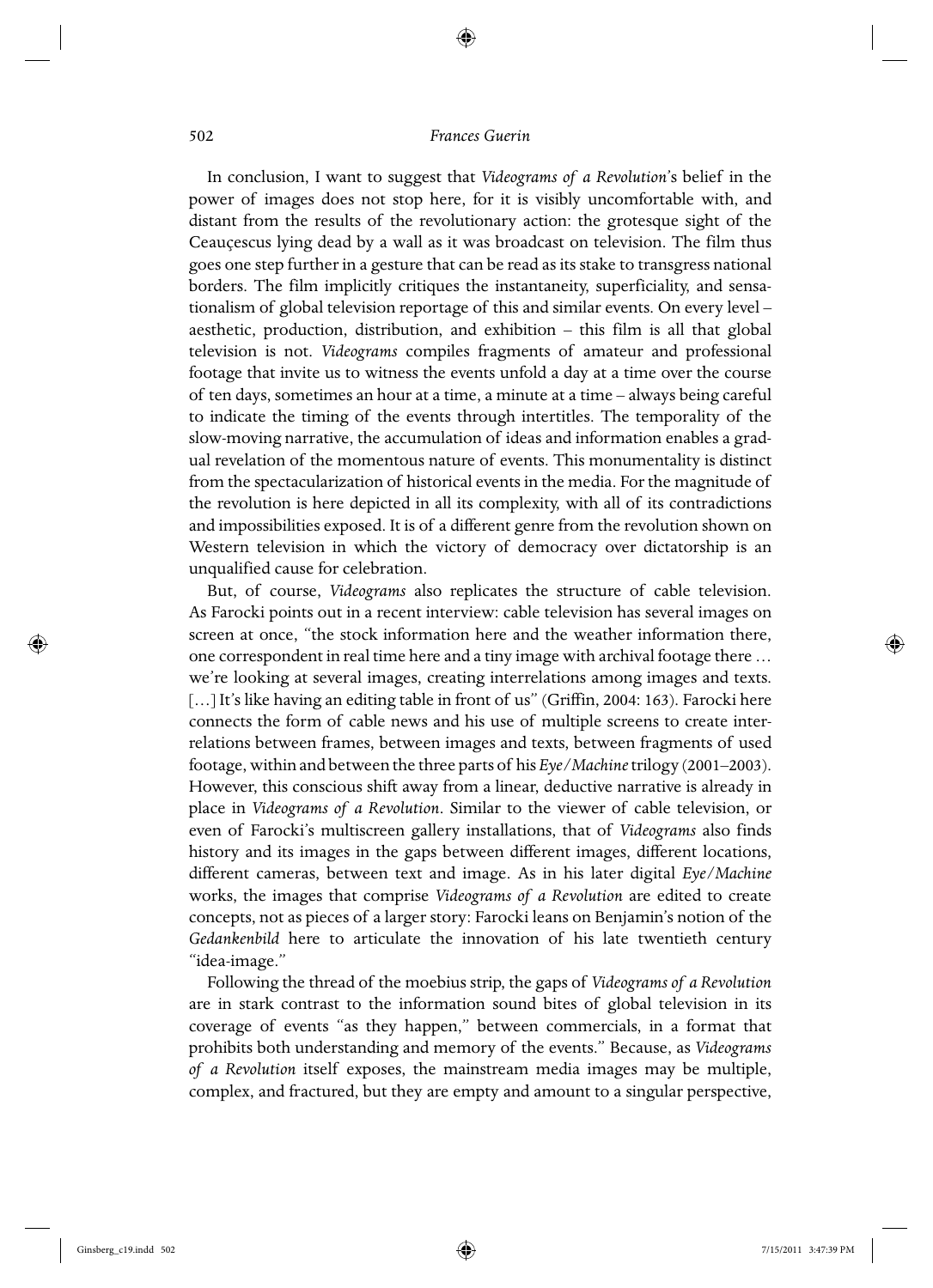⊕

In conclusion, I want to suggest that *Videograms of a Revolution*'s belief in the power of images does not stop here, for it is visibly uncomfortable with, and distant from the results of the revolutionary action: the grotesque sight of the Ceauçescus lying dead by a wall as it was broadcast on television. The film thus goes one step further in a gesture that can be read as its stake to transgress national borders. The film implicitly critiques the instantaneity, superficiality, and sensationalism of global television reportage of this and similar events. On every level – aesthetic, production, distribution, and exhibition – this film is all that global television is not. *Videograms* compiles fragments of amateur and professional footage that invite us to witness the events unfold a day at a time over the course of ten days, sometimes an hour at a time, a minute at a time – always being careful to indicate the timing of the events through intertitles. The temporality of the slow-moving narrative, the accumulation of ideas and information enables a gradual revelation of the momentous nature of events. This monumentality is distinct from the spectacularization of historical events in the media. For the magnitude of the revolution is here depicted in all its complexity, with all of its contradictions and impossibilities exposed. It is of a different genre from the revolution shown on Western television in which the victory of democracy over dictatorship is an unqualified cause for celebration.

But, of course, *Videograms* also replicates the structure of cable television. As Farocki points out in a recent interview: cable television has several images on screen at once, "the stock information here and the weather information there, one correspondent in real time here and a tiny image with archival footage there … we're looking at several images, creating interrelations among images and texts. [...] It's like having an editing table in front of us" (Griffin, 2004: 163). Farocki here connects the form of cable news and his use of multiple screens to create interrelations between frames, between images and texts, between fragments of used footage, within and between the three parts of his *Eye/Machine* trilogy (2001–2003). However, this conscious shift away from a linear, deductive narrative is already in place in *Videograms of a Revolution*. Similar to the viewer of cable television, or even of Farocki's multiscreen gallery installations, that of *Videograms* also finds history and its images in the gaps between different images, different locations, different cameras, between text and image. As in his later digital *Eye/Machine* works, the images that comprise *Videograms of a Revolution* are edited to create concepts, not as pieces of a larger story: Farocki leans on Benjamin's notion of the *Gedankenbild* here to articulate the innovation of his late twentieth century "idea-image."

Following the thread of the moebius strip, the gaps of *Videograms of a Revolution* are in stark contrast to the information sound bites of global television in its coverage of events "as they happen," between commercials, in a format that prohibits both understanding and memory of the events." Because, as *Videograms of a Revolution* itself exposes, the mainstream media images may be multiple, complex, and fractured, but they are empty and amount to a singular perspective,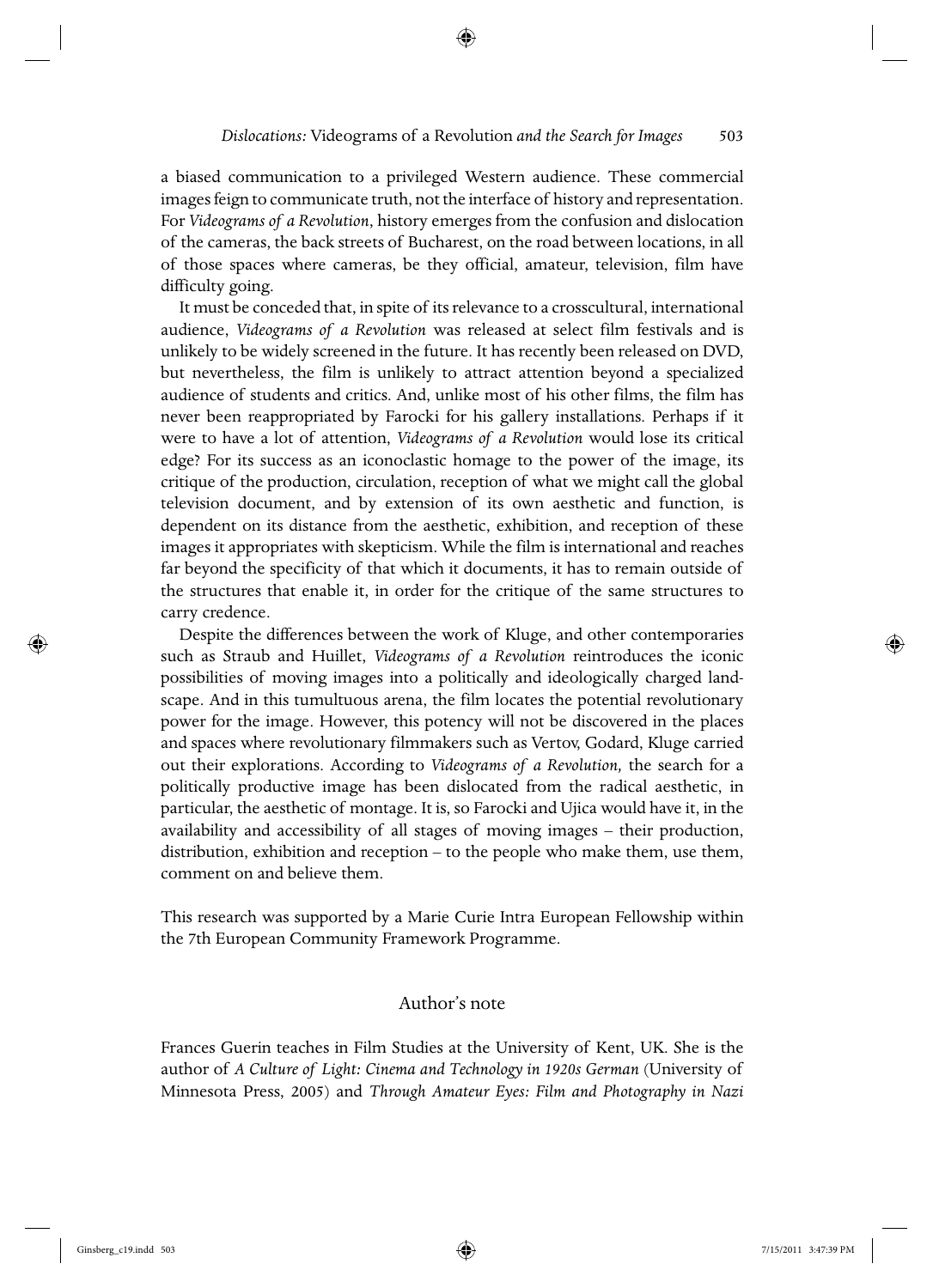a biased communication to a privileged Western audience. These commercial images feign to communicate truth, not the interface of history and representation. For *Videograms of a Revolution*, history emerges from the confusion and dislocation of the cameras, the back streets of Bucharest, on the road between locations, in all of those spaces where cameras, be they official, amateur, television, film have difficulty going.

It must be conceded that, in spite of its relevance to a crosscultural, international audience, *Videograms of a Revolution* was released at select film festivals and is unlikely to be widely screened in the future. It has recently been released on DVD, but nevertheless, the film is unlikely to attract attention beyond a specialized audience of students and critics. And, unlike most of his other films, the film has never been reappropriated by Farocki for his gallery installations. Perhaps if it were to have a lot of attention, *Videograms of a Revolution* would lose its critical edge? For its success as an iconoclastic homage to the power of the image, its critique of the production, circulation, reception of what we might call the global television document, and by extension of its own aesthetic and function, is dependent on its distance from the aesthetic, exhibition, and reception of these images it appropriates with skepticism. While the film is international and reaches far beyond the specificity of that which it documents, it has to remain outside of the structures that enable it, in order for the critique of the same structures to carry credence.

Despite the differences between the work of Kluge, and other contemporaries such as Straub and Huillet, *Videograms of a Revolution* reintroduces the iconic possibilities of moving images into a politically and ideologically charged landscape. And in this tumultuous arena, the film locates the potential revolutionary power for the image. However, this potency will not be discovered in the places and spaces where revolutionary filmmakers such as Vertov, Godard, Kluge carried out their explorations. According to *Videograms of a Revolution,* the search for a politically productive image has been dislocated from the radical aesthetic, in particular, the aesthetic of montage. It is, so Farocki and Ujica would have it, in the availability and accessibility of all stages of moving images – their production, distribution, exhibition and reception – to the people who make them, use them, comment on and believe them.

This research was supported by a Marie Curie Intra European Fellowship within the 7th European Community Framework Programme.

# Author's note

Frances Guerin teaches in Film Studies at the University of Kent, UK. She is the author of *A Culture of Light: Cinema and Technology in 1920s German* (University of Minnesota Press, 2005) and *Through Amateur Eyes: Film and Photography in Nazi*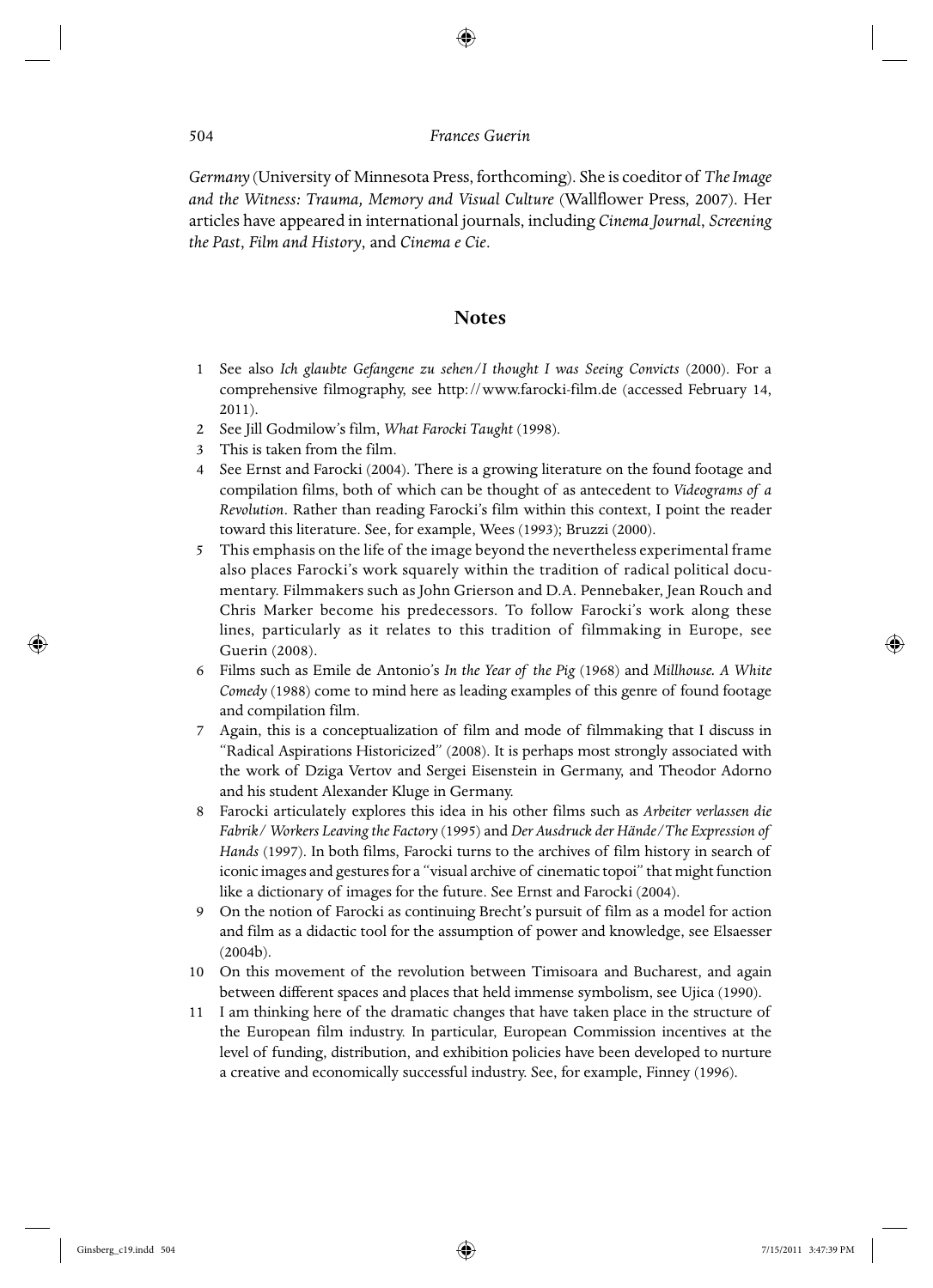⊕

*Germany* (University of Minnesota Press, forthcoming). She is coeditor of *TheImage and the Witness: Trauma, Memory and Visual Culture* (Wallflower Press, 2007). Her articles have appeared in international journals, including *Cinema Journal*, *Screening the Past*, *Film and History*, and *Cinema e Cie*.

# **Notes**

- 1 See also *Ich glaubte Gefangene zu sehen/I thought I was Seeing Convicts* (2000). For a comprehensive filmography, see http://www.farocki-film.de (accessed February 14, 2011).
- 2 See Jill Godmilow's film, *What Farocki Taught* (1998).
- 3 This is taken from the film.
- 4 See Ernst and Farocki (2004). There is a growing literature on the found footage and compilation films, both of which can be thought of as antecedent to *Videograms of a Revolution*. Rather than reading Farocki's film within this context, I point the reader toward this literature. See, for example, Wees (1993); Bruzzi (2000).
- 5 This emphasis on the life of the image beyond the nevertheless experimental frame also places Farocki's work squarely within the tradition of radical political documentary. Filmmakers such as John Grierson and D.A. Pennebaker, Jean Rouch and Chris Marker become his predecessors. To follow Farocki's work along these lines, particularly as it relates to this tradition of filmmaking in Europe, see Guerin (2008).
- 6 Films such as Emile de Antonio's *In the Year of the Pig* (1968) and *Millhouse. A White Comedy* (1988) come to mind here as leading examples of this genre of found footage and compilation film.
- 7 Again, this is a conceptualization of film and mode of filmmaking that I discuss in "Radical Aspirations Historicized" (2008). It is perhaps most strongly associated with the work of Dziga Vertov and Sergei Eisenstein in Germany, and Theodor Adorno and his student Alexander Kluge in Germany.
- 8 Farocki articulately explores this idea in his other films such as *Arbeiter verlassen die Fabrik/ Workers Leaving the Factory* (1995) and *Der Ausdruck der Hände/The Expression of Hands* (1997). In both films, Farocki turns to the archives of film history in search of iconic images and gestures for a "visual archive of cinematic topoi" that might function like a dictionary of images for the future. See Ernst and Farocki (2004).
- 9 On the notion of Farocki as continuing Brecht's pursuit of film as a model for action and film as a didactic tool for the assumption of power and knowledge, see Elsaesser  $(2004b).$
- 10 On this movement of the revolution between Timisoara and Bucharest, and again between different spaces and places that held immense symbolism, see Ujica (1990).
- 11 I am thinking here of the dramatic changes that have taken place in the structure of the European film industry. In particular, European Commission incentives at the level of funding, distribution, and exhibition policies have been developed to nurture a creative and economically successful industry. See, for example, Finney (1996).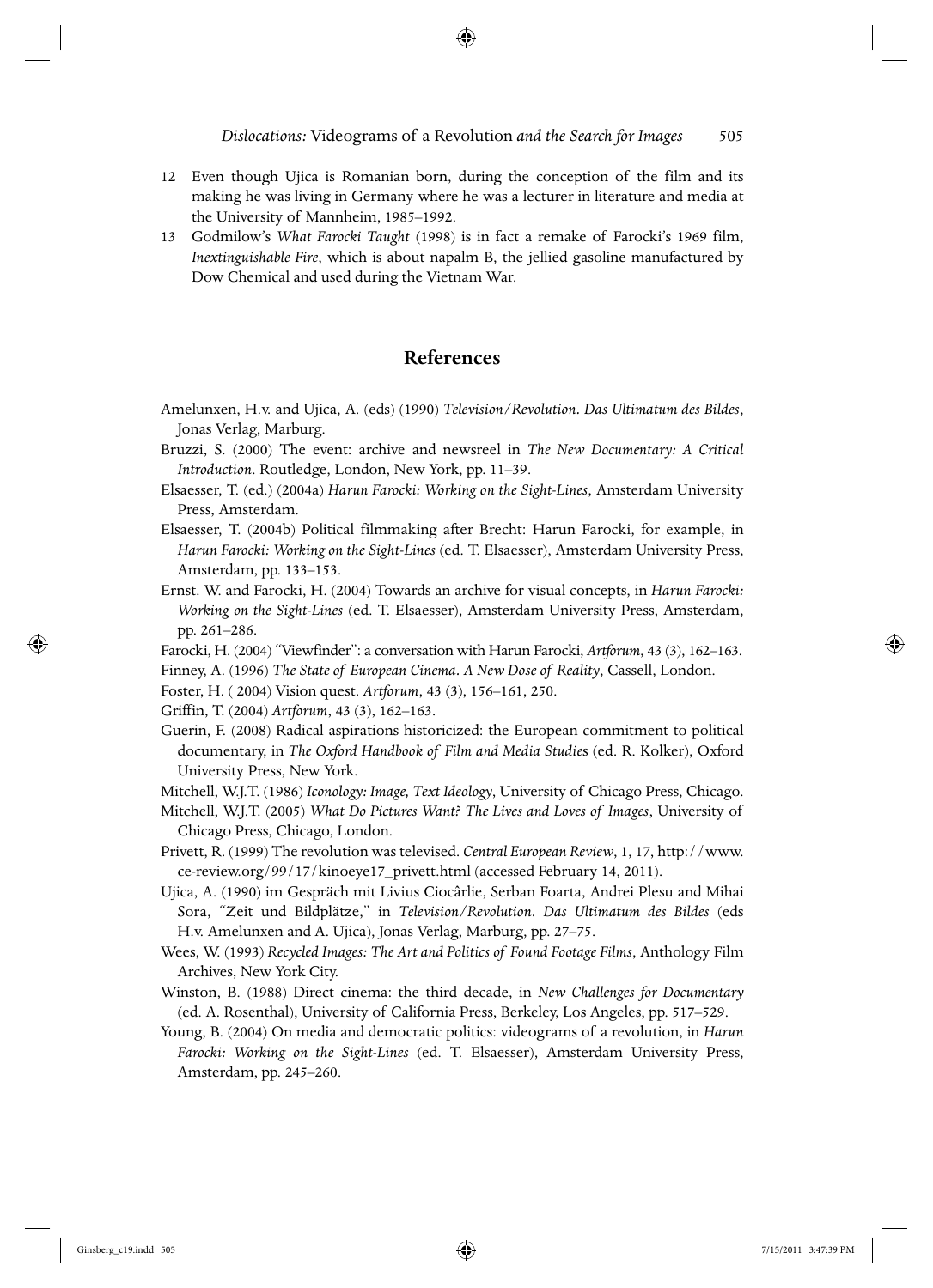#### *Dislocations:* Videograms of a Revolution *and the Search for Images* 505

⊕

- 12 Even though Ujica is Romanian born, during the conception of the film and its making he was living in Germany where he was a lecturer in literature and media at the University of Mannheim, 1985–1992.
- 13 Godmilow's *What Farocki Taught* (1998) is in fact a remake of Farocki's 1969 film, *Inextinguishable Fire*, which is about napalm B, the jellied gasoline manufactured by Dow Chemical and used during the Vietnam War.

# **References**

- Amelunxen, H.v. and Ujica, A. (eds) (1990) *Television/Revolution. Das Ultimatum des Bildes*, Jonas Verlag, Marburg.
- Bruzzi, S. (2000) The event: archive and newsreel in *The New Documentary: A Critical Introduction*. Routledge, London, New York, pp. 11–39.
- Elsaesser, T. (ed.) (2004a) *Harun Farocki: Working on the Sight-Lines*, Amsterdam University Press, Amsterdam.
- Elsaesser, T. (2004b) Political filmmaking after Brecht: Harun Farocki, for example, in *Harun Farocki: Working on the Sight-Lines* (ed. T. Elsaesser), Amsterdam University Press, Amsterdam, pp. 133–153.
- Ernst. W. and Farocki, H. (2004) Towards an archive for visual concepts, in *Harun Farocki: Working on the Sight-Lines* (ed. T. Elsaesser), Amsterdam University Press, Amsterdam, pp. 261–286.
- Farocki, H. (2004) "Viewfinder": a conversation with Harun Farocki, *Artforum*, 43 (3), 162–163.
- Finney, A. (1996) *The State of European Cinema. A New Dose of Reality*, Cassell, London.
- Foster, H. ( 2004) Vision quest. *Artforum*, 43 (3), 156–161, 250.
- Griffin, T. (2004) *Artforum*, 43 (3), 162–163.
- Guerin, F. (2008) Radical aspirations historicized: the European commitment to political documentary, in *The Oxford Handbook of Film and Media Studie*s (ed. R. Kolker), Oxford University Press, New York.
- Mitchell, W.J.T. (1986) *Iconology: Image, Text Ideology*, University of Chicago Press, Chicago.
- Mitchell, W.J.T. (2005) *What Do Pictures Want? The Lives and Loves of Images*, University of Chicago Press, Chicago, London.
- Privett, R. (1999) The revolution was televised. *Central European Review*, 1, 17, http://www. ce-review.org/99/17/kinoeye17\_privett.html (accessed February 14, 2011).
- Ujica, A. (1990) im Gespräch mit Livius Ciocârlie, Serban Foarta, Andrei Plesu and Mihai Sora, "Zeit und Bildplätze," in *Television/Revolution. Das Ultimatum des Bildes* (eds H.v. Amelunxen and A. Ujica), Jonas Verlag, Marburg, pp. 27–75.
- Wees, W. (1993) *Recycled Images: The Art and Politics of Found Footage Films*, Anthology Film Archives, New York City.
- Winston, B. (1988) Direct cinema: the third decade, in *New Challenges for Documentary* (ed. A. Rosenthal), University of California Press, Berkeley, Los Angeles, pp. 517–529.
- Young, B. (2004) On media and democratic politics: videograms of a revolution, in *Harun Farocki: Working on the Sight-Lines* (ed. T. Elsaesser), Amsterdam University Press, Amsterdam, pp. 245–260.

⊕